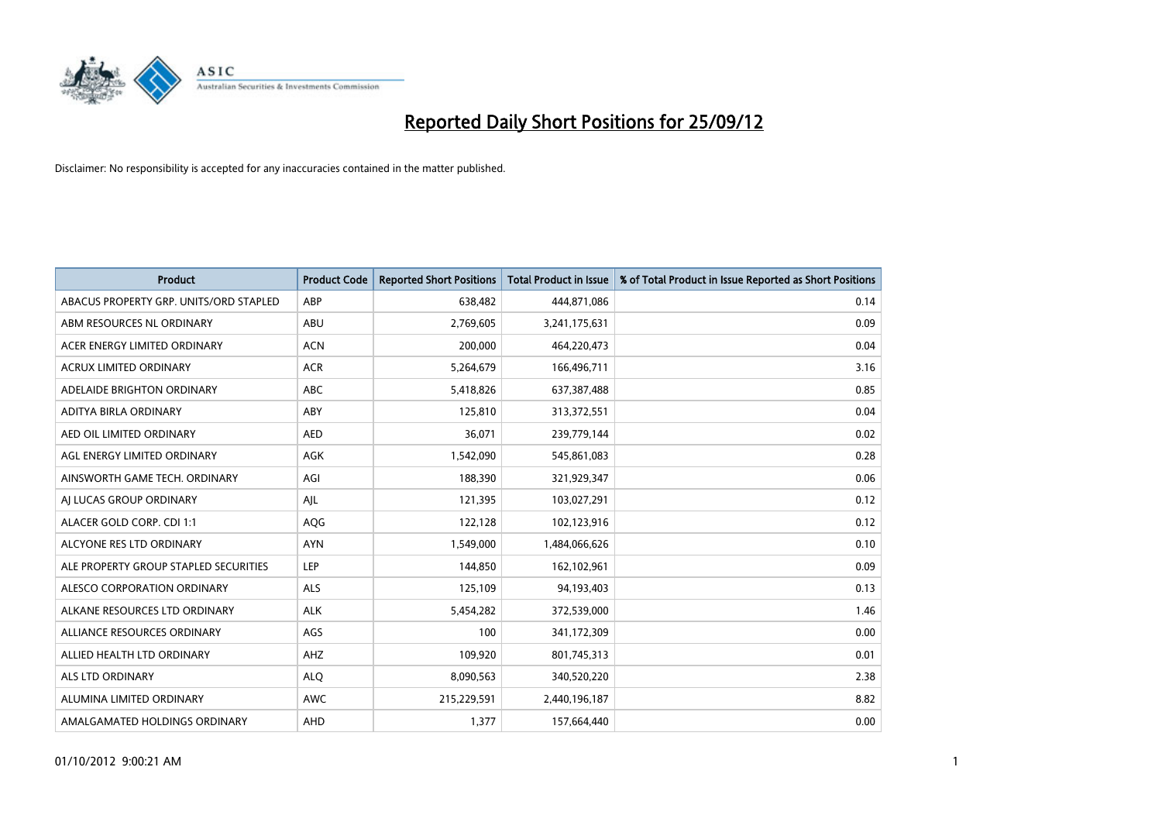

| <b>Product</b>                         | <b>Product Code</b> | <b>Reported Short Positions</b> | <b>Total Product in Issue</b> | % of Total Product in Issue Reported as Short Positions |
|----------------------------------------|---------------------|---------------------------------|-------------------------------|---------------------------------------------------------|
| ABACUS PROPERTY GRP. UNITS/ORD STAPLED | ABP                 | 638,482                         | 444,871,086                   | 0.14                                                    |
| ABM RESOURCES NL ORDINARY              | <b>ABU</b>          | 2,769,605                       | 3,241,175,631                 | 0.09                                                    |
| ACER ENERGY LIMITED ORDINARY           | <b>ACN</b>          | 200,000                         | 464,220,473                   | 0.04                                                    |
| ACRUX LIMITED ORDINARY                 | <b>ACR</b>          | 5,264,679                       | 166,496,711                   | 3.16                                                    |
| ADELAIDE BRIGHTON ORDINARY             | <b>ABC</b>          | 5,418,826                       | 637,387,488                   | 0.85                                                    |
| ADITYA BIRLA ORDINARY                  | ABY                 | 125,810                         | 313,372,551                   | 0.04                                                    |
| AED OIL LIMITED ORDINARY               | <b>AED</b>          | 36,071                          | 239,779,144                   | 0.02                                                    |
| AGL ENERGY LIMITED ORDINARY            | AGK                 | 1,542,090                       | 545,861,083                   | 0.28                                                    |
| AINSWORTH GAME TECH. ORDINARY          | AGI                 | 188,390                         | 321,929,347                   | 0.06                                                    |
| AI LUCAS GROUP ORDINARY                | AIL                 | 121,395                         | 103,027,291                   | 0.12                                                    |
| ALACER GOLD CORP. CDI 1:1              | AQG                 | 122,128                         | 102,123,916                   | 0.12                                                    |
| ALCYONE RES LTD ORDINARY               | <b>AYN</b>          | 1,549,000                       | 1,484,066,626                 | 0.10                                                    |
| ALE PROPERTY GROUP STAPLED SECURITIES  | LEP                 | 144,850                         | 162,102,961                   | 0.09                                                    |
| ALESCO CORPORATION ORDINARY            | ALS                 | 125,109                         | 94,193,403                    | 0.13                                                    |
| ALKANE RESOURCES LTD ORDINARY          | <b>ALK</b>          | 5,454,282                       | 372,539,000                   | 1.46                                                    |
| ALLIANCE RESOURCES ORDINARY            | AGS                 | 100                             | 341,172,309                   | 0.00                                                    |
| ALLIED HEALTH LTD ORDINARY             | AHZ                 | 109,920                         | 801,745,313                   | 0.01                                                    |
| <b>ALS LTD ORDINARY</b>                | <b>ALQ</b>          | 8,090,563                       | 340,520,220                   | 2.38                                                    |
| ALUMINA LIMITED ORDINARY               | <b>AWC</b>          | 215,229,591                     | 2,440,196,187                 | 8.82                                                    |
| AMALGAMATED HOLDINGS ORDINARY          | AHD                 | 1,377                           | 157,664,440                   | 0.00                                                    |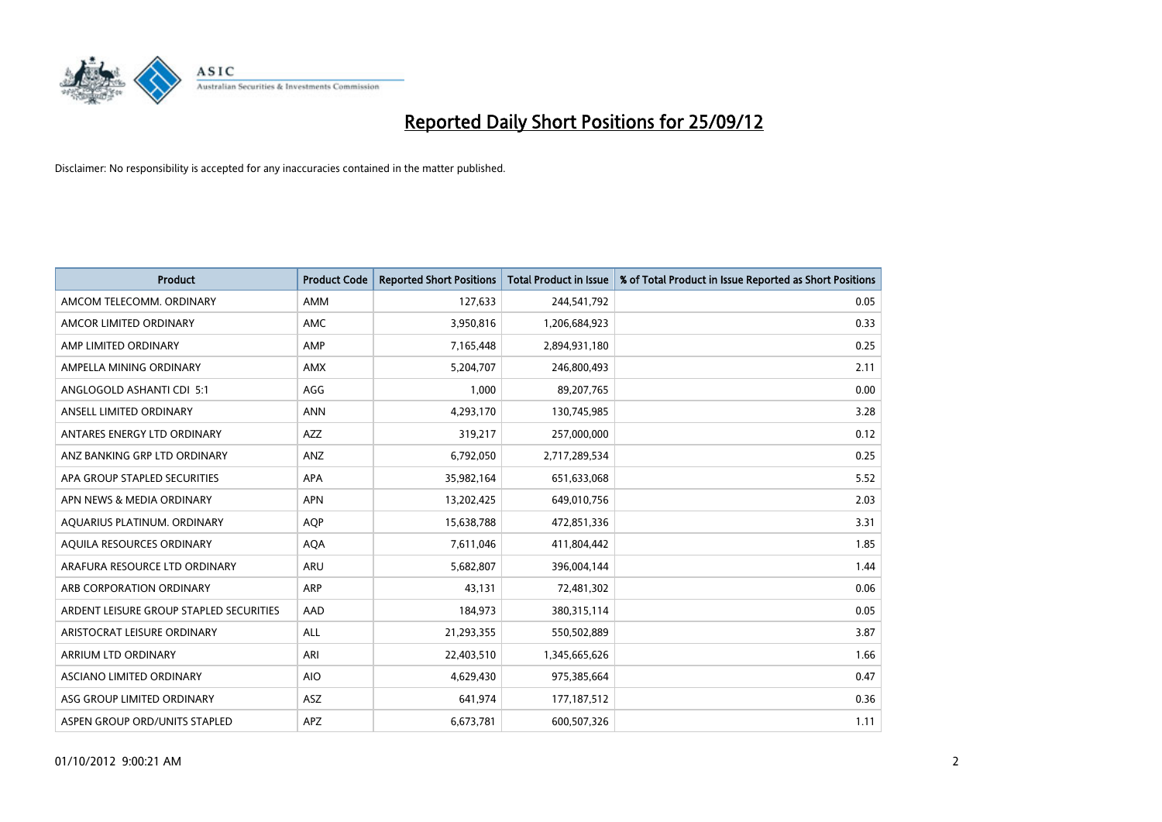

| <b>Product</b>                          | <b>Product Code</b> | <b>Reported Short Positions</b> | <b>Total Product in Issue</b> | % of Total Product in Issue Reported as Short Positions |
|-----------------------------------------|---------------------|---------------------------------|-------------------------------|---------------------------------------------------------|
| AMCOM TELECOMM, ORDINARY                | <b>AMM</b>          | 127,633                         | 244,541,792                   | 0.05                                                    |
| AMCOR LIMITED ORDINARY                  | <b>AMC</b>          | 3,950,816                       | 1,206,684,923                 | 0.33                                                    |
| AMP LIMITED ORDINARY                    | AMP                 | 7,165,448                       | 2,894,931,180                 | 0.25                                                    |
| AMPELLA MINING ORDINARY                 | <b>AMX</b>          | 5,204,707                       | 246,800,493                   | 2.11                                                    |
| ANGLOGOLD ASHANTI CDI 5:1               | AGG                 | 1,000                           | 89,207,765                    | 0.00                                                    |
| ANSELL LIMITED ORDINARY                 | <b>ANN</b>          | 4,293,170                       | 130,745,985                   | 3.28                                                    |
| ANTARES ENERGY LTD ORDINARY             | <b>AZZ</b>          | 319,217                         | 257,000,000                   | 0.12                                                    |
| ANZ BANKING GRP LTD ORDINARY            | ANZ                 | 6,792,050                       | 2,717,289,534                 | 0.25                                                    |
| APA GROUP STAPLED SECURITIES            | <b>APA</b>          | 35,982,164                      | 651,633,068                   | 5.52                                                    |
| APN NEWS & MEDIA ORDINARY               | <b>APN</b>          | 13,202,425                      | 649,010,756                   | 2.03                                                    |
| AQUARIUS PLATINUM. ORDINARY             | <b>AOP</b>          | 15,638,788                      | 472,851,336                   | 3.31                                                    |
| AQUILA RESOURCES ORDINARY               | <b>AQA</b>          | 7,611,046                       | 411,804,442                   | 1.85                                                    |
| ARAFURA RESOURCE LTD ORDINARY           | ARU                 | 5,682,807                       | 396,004,144                   | 1.44                                                    |
| ARB CORPORATION ORDINARY                | <b>ARP</b>          | 43,131                          | 72,481,302                    | 0.06                                                    |
| ARDENT LEISURE GROUP STAPLED SECURITIES | AAD                 | 184,973                         | 380,315,114                   | 0.05                                                    |
| ARISTOCRAT LEISURE ORDINARY             | ALL                 | 21,293,355                      | 550,502,889                   | 3.87                                                    |
| ARRIUM LTD ORDINARY                     | ARI                 | 22,403,510                      | 1,345,665,626                 | 1.66                                                    |
| ASCIANO LIMITED ORDINARY                | <b>AIO</b>          | 4,629,430                       | 975,385,664                   | 0.47                                                    |
| ASG GROUP LIMITED ORDINARY              | <b>ASZ</b>          | 641,974                         | 177, 187, 512                 | 0.36                                                    |
| ASPEN GROUP ORD/UNITS STAPLED           | APZ                 | 6,673,781                       | 600,507,326                   | 1.11                                                    |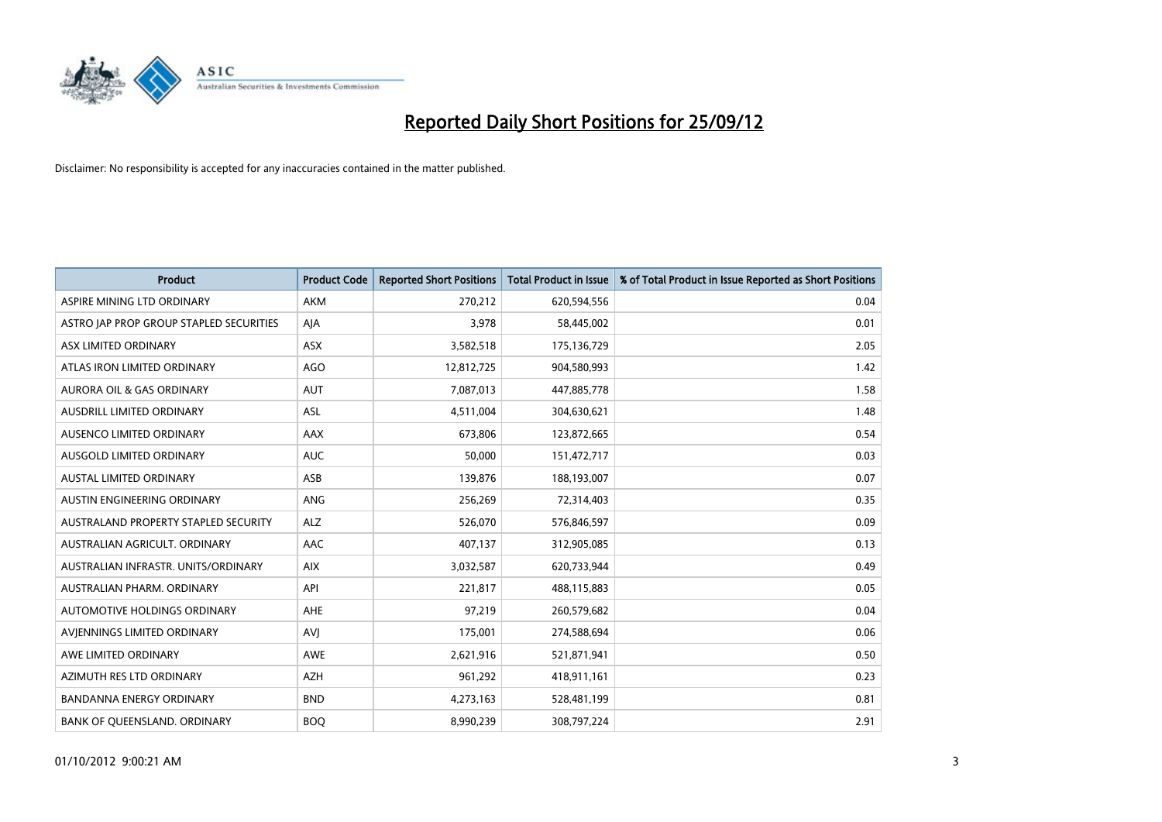

| <b>Product</b>                          | <b>Product Code</b> | <b>Reported Short Positions</b> | <b>Total Product in Issue</b> | % of Total Product in Issue Reported as Short Positions |
|-----------------------------------------|---------------------|---------------------------------|-------------------------------|---------------------------------------------------------|
| ASPIRE MINING LTD ORDINARY              | <b>AKM</b>          | 270,212                         | 620,594,556                   | 0.04                                                    |
| ASTRO JAP PROP GROUP STAPLED SECURITIES | AJA                 | 3,978                           | 58,445,002                    | 0.01                                                    |
| ASX LIMITED ORDINARY                    | <b>ASX</b>          | 3,582,518                       | 175,136,729                   | 2.05                                                    |
| ATLAS IRON LIMITED ORDINARY             | AGO                 | 12,812,725                      | 904,580,993                   | 1.42                                                    |
| <b>AURORA OIL &amp; GAS ORDINARY</b>    | <b>AUT</b>          | 7,087,013                       | 447,885,778                   | 1.58                                                    |
| AUSDRILL LIMITED ORDINARY               | <b>ASL</b>          | 4,511,004                       | 304,630,621                   | 1.48                                                    |
| AUSENCO LIMITED ORDINARY                | <b>AAX</b>          | 673,806                         | 123,872,665                   | 0.54                                                    |
| AUSGOLD LIMITED ORDINARY                | <b>AUC</b>          | 50,000                          | 151,472,717                   | 0.03                                                    |
| <b>AUSTAL LIMITED ORDINARY</b>          | ASB                 | 139,876                         | 188,193,007                   | 0.07                                                    |
| AUSTIN ENGINEERING ORDINARY             | ANG                 | 256,269                         | 72,314,403                    | 0.35                                                    |
| AUSTRALAND PROPERTY STAPLED SECURITY    | <b>ALZ</b>          | 526,070                         | 576,846,597                   | 0.09                                                    |
| AUSTRALIAN AGRICULT, ORDINARY           | AAC                 | 407,137                         | 312,905,085                   | 0.13                                                    |
| AUSTRALIAN INFRASTR. UNITS/ORDINARY     | <b>AIX</b>          | 3,032,587                       | 620,733,944                   | 0.49                                                    |
| AUSTRALIAN PHARM. ORDINARY              | API                 | 221,817                         | 488,115,883                   | 0.05                                                    |
| AUTOMOTIVE HOLDINGS ORDINARY            | <b>AHE</b>          | 97,219                          | 260,579,682                   | 0.04                                                    |
| AVIENNINGS LIMITED ORDINARY             | AVI                 | 175,001                         | 274,588,694                   | 0.06                                                    |
| AWE LIMITED ORDINARY                    | AWE                 | 2,621,916                       | 521,871,941                   | 0.50                                                    |
| AZIMUTH RES LTD ORDINARY                | <b>AZH</b>          | 961,292                         | 418,911,161                   | 0.23                                                    |
| <b>BANDANNA ENERGY ORDINARY</b>         | <b>BND</b>          | 4,273,163                       | 528,481,199                   | 0.81                                                    |
| BANK OF QUEENSLAND. ORDINARY            | <b>BOQ</b>          | 8,990,239                       | 308,797,224                   | 2.91                                                    |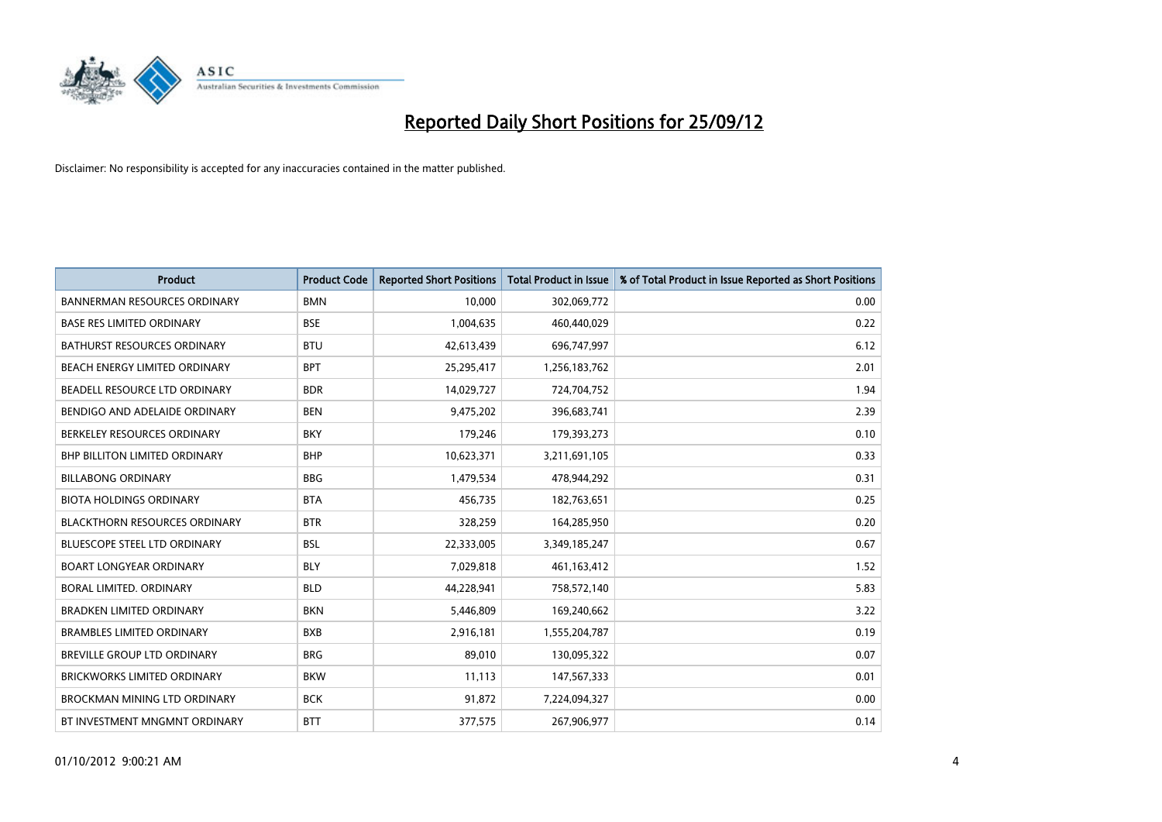

| <b>Product</b>                       | <b>Product Code</b> | <b>Reported Short Positions</b> | <b>Total Product in Issue</b> | % of Total Product in Issue Reported as Short Positions |
|--------------------------------------|---------------------|---------------------------------|-------------------------------|---------------------------------------------------------|
| <b>BANNERMAN RESOURCES ORDINARY</b>  | <b>BMN</b>          | 10.000                          | 302,069,772                   | 0.00                                                    |
| <b>BASE RES LIMITED ORDINARY</b>     | <b>BSE</b>          | 1,004,635                       | 460,440,029                   | 0.22                                                    |
| <b>BATHURST RESOURCES ORDINARY</b>   | <b>BTU</b>          | 42,613,439                      | 696,747,997                   | 6.12                                                    |
| BEACH ENERGY LIMITED ORDINARY        | <b>BPT</b>          | 25,295,417                      | 1,256,183,762                 | 2.01                                                    |
| BEADELL RESOURCE LTD ORDINARY        | <b>BDR</b>          | 14,029,727                      | 724,704,752                   | 1.94                                                    |
| BENDIGO AND ADELAIDE ORDINARY        | <b>BEN</b>          | 9,475,202                       | 396,683,741                   | 2.39                                                    |
| BERKELEY RESOURCES ORDINARY          | <b>BKY</b>          | 179,246                         | 179,393,273                   | 0.10                                                    |
| <b>BHP BILLITON LIMITED ORDINARY</b> | <b>BHP</b>          | 10,623,371                      | 3,211,691,105                 | 0.33                                                    |
| <b>BILLABONG ORDINARY</b>            | <b>BBG</b>          | 1,479,534                       | 478,944,292                   | 0.31                                                    |
| <b>BIOTA HOLDINGS ORDINARY</b>       | <b>BTA</b>          | 456,735                         | 182,763,651                   | 0.25                                                    |
| <b>BLACKTHORN RESOURCES ORDINARY</b> | <b>BTR</b>          | 328,259                         | 164,285,950                   | 0.20                                                    |
| <b>BLUESCOPE STEEL LTD ORDINARY</b>  | <b>BSL</b>          | 22,333,005                      | 3,349,185,247                 | 0.67                                                    |
| <b>BOART LONGYEAR ORDINARY</b>       | <b>BLY</b>          | 7,029,818                       | 461,163,412                   | 1.52                                                    |
| <b>BORAL LIMITED, ORDINARY</b>       | <b>BLD</b>          | 44,228,941                      | 758,572,140                   | 5.83                                                    |
| <b>BRADKEN LIMITED ORDINARY</b>      | <b>BKN</b>          | 5,446,809                       | 169,240,662                   | 3.22                                                    |
| <b>BRAMBLES LIMITED ORDINARY</b>     | <b>BXB</b>          | 2,916,181                       | 1,555,204,787                 | 0.19                                                    |
| BREVILLE GROUP LTD ORDINARY          | <b>BRG</b>          | 89,010                          | 130,095,322                   | 0.07                                                    |
| <b>BRICKWORKS LIMITED ORDINARY</b>   | <b>BKW</b>          | 11,113                          | 147,567,333                   | 0.01                                                    |
| <b>BROCKMAN MINING LTD ORDINARY</b>  | <b>BCK</b>          | 91,872                          | 7,224,094,327                 | 0.00                                                    |
| BT INVESTMENT MNGMNT ORDINARY        | <b>BTT</b>          | 377,575                         | 267,906,977                   | 0.14                                                    |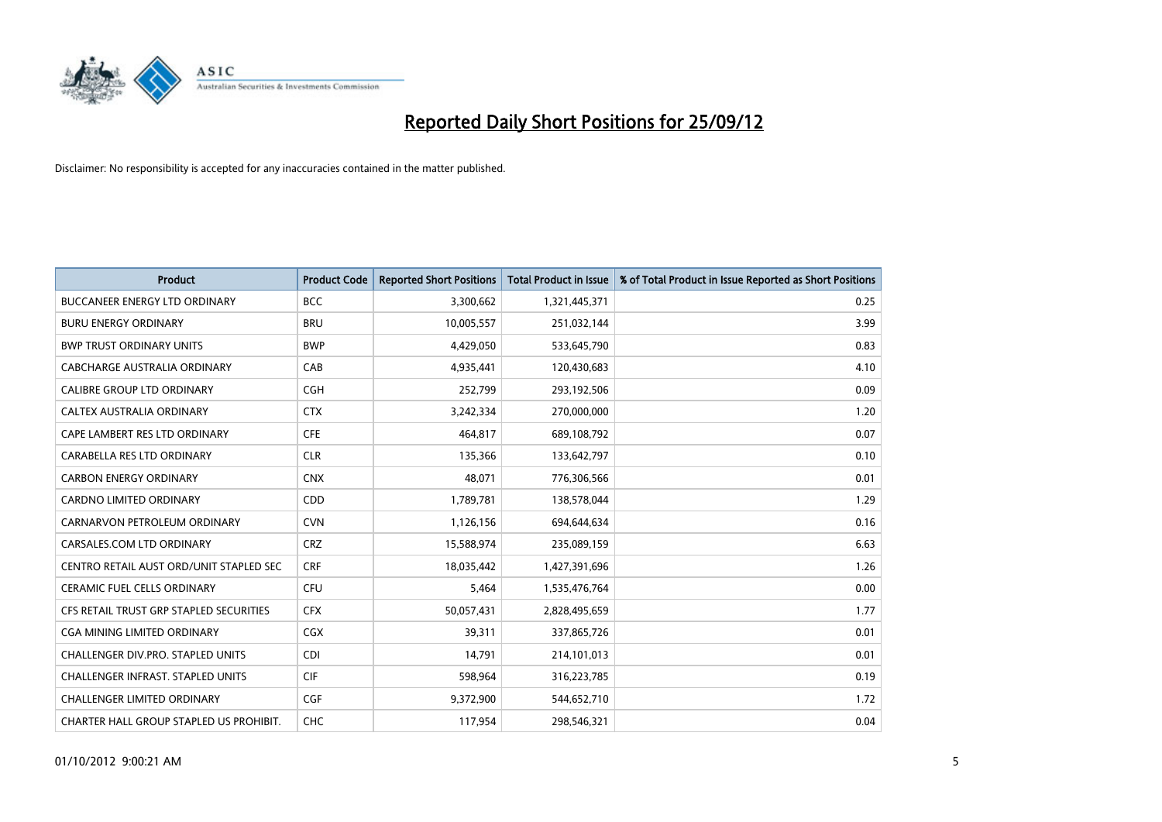

| <b>Product</b>                          | <b>Product Code</b> | <b>Reported Short Positions</b> | <b>Total Product in Issue</b> | % of Total Product in Issue Reported as Short Positions |
|-----------------------------------------|---------------------|---------------------------------|-------------------------------|---------------------------------------------------------|
| <b>BUCCANEER ENERGY LTD ORDINARY</b>    | <b>BCC</b>          | 3,300,662                       | 1,321,445,371                 | 0.25                                                    |
| <b>BURU ENERGY ORDINARY</b>             | <b>BRU</b>          | 10,005,557                      | 251,032,144                   | 3.99                                                    |
| <b>BWP TRUST ORDINARY UNITS</b>         | <b>BWP</b>          | 4,429,050                       | 533,645,790                   | 0.83                                                    |
| CABCHARGE AUSTRALIA ORDINARY            | CAB                 | 4,935,441                       | 120,430,683                   | 4.10                                                    |
| <b>CALIBRE GROUP LTD ORDINARY</b>       | <b>CGH</b>          | 252,799                         | 293,192,506                   | 0.09                                                    |
| CALTEX AUSTRALIA ORDINARY               | <b>CTX</b>          | 3,242,334                       | 270,000,000                   | 1.20                                                    |
| CAPE LAMBERT RES LTD ORDINARY           | <b>CFE</b>          | 464.817                         | 689,108,792                   | 0.07                                                    |
| CARABELLA RES LTD ORDINARY              | <b>CLR</b>          | 135,366                         | 133,642,797                   | 0.10                                                    |
| <b>CARBON ENERGY ORDINARY</b>           | <b>CNX</b>          | 48,071                          | 776,306,566                   | 0.01                                                    |
| <b>CARDNO LIMITED ORDINARY</b>          | CDD                 | 1,789,781                       | 138,578,044                   | 1.29                                                    |
| CARNARVON PETROLEUM ORDINARY            | <b>CVN</b>          | 1,126,156                       | 694,644,634                   | 0.16                                                    |
| CARSALES.COM LTD ORDINARY               | <b>CRZ</b>          | 15,588,974                      | 235,089,159                   | 6.63                                                    |
| CENTRO RETAIL AUST ORD/UNIT STAPLED SEC | <b>CRF</b>          | 18,035,442                      | 1,427,391,696                 | 1.26                                                    |
| <b>CERAMIC FUEL CELLS ORDINARY</b>      | <b>CFU</b>          | 5,464                           | 1,535,476,764                 | 0.00                                                    |
| CFS RETAIL TRUST GRP STAPLED SECURITIES | <b>CFX</b>          | 50,057,431                      | 2,828,495,659                 | 1.77                                                    |
| CGA MINING LIMITED ORDINARY             | <b>CGX</b>          | 39,311                          | 337,865,726                   | 0.01                                                    |
| CHALLENGER DIV.PRO. STAPLED UNITS       | <b>CDI</b>          | 14,791                          | 214,101,013                   | 0.01                                                    |
| CHALLENGER INFRAST. STAPLED UNITS       | <b>CIF</b>          | 598,964                         | 316,223,785                   | 0.19                                                    |
| <b>CHALLENGER LIMITED ORDINARY</b>      | <b>CGF</b>          | 9,372,900                       | 544,652,710                   | 1.72                                                    |
| CHARTER HALL GROUP STAPLED US PROHIBIT. | <b>CHC</b>          | 117,954                         | 298.546.321                   | 0.04                                                    |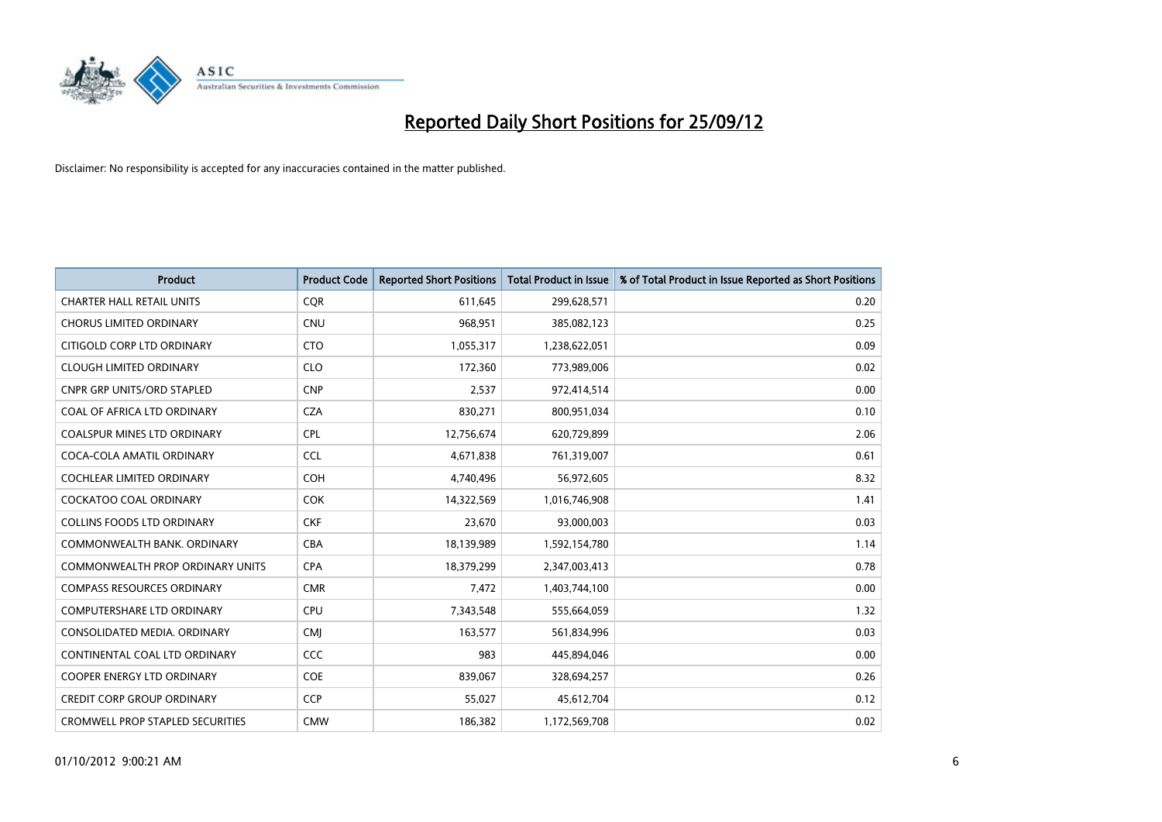

| <b>Product</b>                          | <b>Product Code</b> | <b>Reported Short Positions</b> | <b>Total Product in Issue</b> | % of Total Product in Issue Reported as Short Positions |
|-----------------------------------------|---------------------|---------------------------------|-------------------------------|---------------------------------------------------------|
| <b>CHARTER HALL RETAIL UNITS</b>        | <b>COR</b>          | 611,645                         | 299,628,571                   | 0.20                                                    |
| <b>CHORUS LIMITED ORDINARY</b>          | <b>CNU</b>          | 968,951                         | 385,082,123                   | 0.25                                                    |
| CITIGOLD CORP LTD ORDINARY              | <b>CTO</b>          | 1,055,317                       | 1,238,622,051                 | 0.09                                                    |
| <b>CLOUGH LIMITED ORDINARY</b>          | <b>CLO</b>          | 172,360                         | 773,989,006                   | 0.02                                                    |
| <b>CNPR GRP UNITS/ORD STAPLED</b>       | <b>CNP</b>          | 2,537                           | 972,414,514                   | 0.00                                                    |
| COAL OF AFRICA LTD ORDINARY             | <b>CZA</b>          | 830,271                         | 800,951,034                   | 0.10                                                    |
| <b>COALSPUR MINES LTD ORDINARY</b>      | <b>CPL</b>          | 12,756,674                      | 620,729,899                   | 2.06                                                    |
| COCA-COLA AMATIL ORDINARY               | <b>CCL</b>          | 4,671,838                       | 761,319,007                   | 0.61                                                    |
| <b>COCHLEAR LIMITED ORDINARY</b>        | <b>COH</b>          | 4,740,496                       | 56,972,605                    | 8.32                                                    |
| <b>COCKATOO COAL ORDINARY</b>           | <b>COK</b>          | 14,322,569                      | 1,016,746,908                 | 1.41                                                    |
| <b>COLLINS FOODS LTD ORDINARY</b>       | <b>CKF</b>          | 23,670                          | 93,000,003                    | 0.03                                                    |
| COMMONWEALTH BANK, ORDINARY             | <b>CBA</b>          | 18,139,989                      | 1,592,154,780                 | 1.14                                                    |
| <b>COMMONWEALTH PROP ORDINARY UNITS</b> | <b>CPA</b>          | 18,379,299                      | 2,347,003,413                 | 0.78                                                    |
| <b>COMPASS RESOURCES ORDINARY</b>       | <b>CMR</b>          | 7,472                           | 1,403,744,100                 | 0.00                                                    |
| <b>COMPUTERSHARE LTD ORDINARY</b>       | <b>CPU</b>          | 7,343,548                       | 555,664,059                   | 1.32                                                    |
| CONSOLIDATED MEDIA, ORDINARY            | <b>CMI</b>          | 163,577                         | 561,834,996                   | 0.03                                                    |
| CONTINENTAL COAL LTD ORDINARY           | CCC                 | 983                             | 445,894,046                   | 0.00                                                    |
| COOPER ENERGY LTD ORDINARY              | <b>COE</b>          | 839,067                         | 328,694,257                   | 0.26                                                    |
| <b>CREDIT CORP GROUP ORDINARY</b>       | <b>CCP</b>          | 55,027                          | 45,612,704                    | 0.12                                                    |
| <b>CROMWELL PROP STAPLED SECURITIES</b> | <b>CMW</b>          | 186,382                         | 1,172,569,708                 | 0.02                                                    |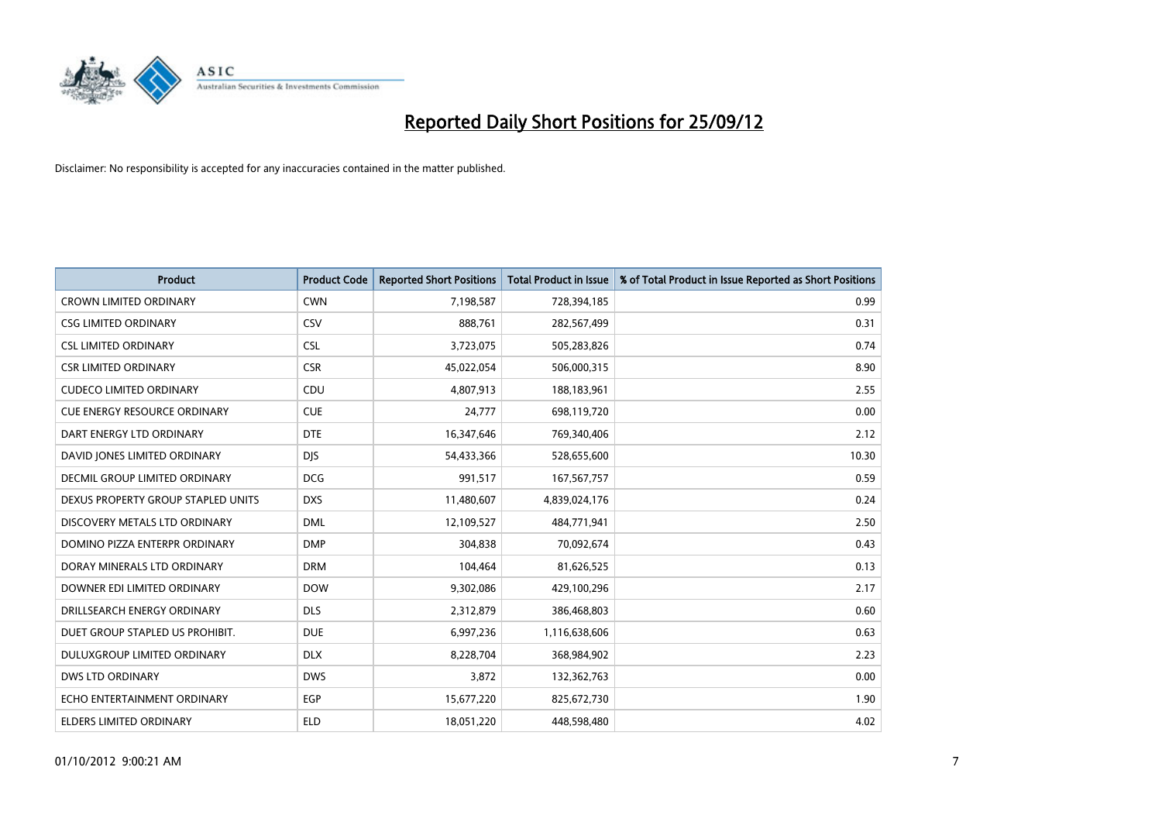

| <b>Product</b>                       | <b>Product Code</b> | <b>Reported Short Positions</b> | <b>Total Product in Issue</b> | % of Total Product in Issue Reported as Short Positions |
|--------------------------------------|---------------------|---------------------------------|-------------------------------|---------------------------------------------------------|
| <b>CROWN LIMITED ORDINARY</b>        | <b>CWN</b>          | 7,198,587                       | 728,394,185                   | 0.99                                                    |
| <b>CSG LIMITED ORDINARY</b>          | CSV                 | 888,761                         | 282,567,499                   | 0.31                                                    |
| <b>CSL LIMITED ORDINARY</b>          | <b>CSL</b>          | 3,723,075                       | 505,283,826                   | 0.74                                                    |
| <b>CSR LIMITED ORDINARY</b>          | <b>CSR</b>          | 45,022,054                      | 506,000,315                   | 8.90                                                    |
| <b>CUDECO LIMITED ORDINARY</b>       | CDU                 | 4,807,913                       | 188,183,961                   | 2.55                                                    |
| <b>CUE ENERGY RESOURCE ORDINARY</b>  | <b>CUE</b>          | 24,777                          | 698,119,720                   | 0.00                                                    |
| DART ENERGY LTD ORDINARY             | <b>DTE</b>          | 16,347,646                      | 769,340,406                   | 2.12                                                    |
| DAVID JONES LIMITED ORDINARY         | <b>DIS</b>          | 54,433,366                      | 528,655,600                   | 10.30                                                   |
| <b>DECMIL GROUP LIMITED ORDINARY</b> | <b>DCG</b>          | 991,517                         | 167,567,757                   | 0.59                                                    |
| DEXUS PROPERTY GROUP STAPLED UNITS   | <b>DXS</b>          | 11,480,607                      | 4,839,024,176                 | 0.24                                                    |
| DISCOVERY METALS LTD ORDINARY        | <b>DML</b>          | 12,109,527                      | 484,771,941                   | 2.50                                                    |
| DOMINO PIZZA ENTERPR ORDINARY        | <b>DMP</b>          | 304,838                         | 70,092,674                    | 0.43                                                    |
| DORAY MINERALS LTD ORDINARY          | <b>DRM</b>          | 104,464                         | 81,626,525                    | 0.13                                                    |
| DOWNER EDI LIMITED ORDINARY          | <b>DOW</b>          | 9,302,086                       | 429,100,296                   | 2.17                                                    |
| DRILLSEARCH ENERGY ORDINARY          | <b>DLS</b>          | 2,312,879                       | 386,468,803                   | 0.60                                                    |
| DUET GROUP STAPLED US PROHIBIT.      | <b>DUE</b>          | 6,997,236                       | 1,116,638,606                 | 0.63                                                    |
| DULUXGROUP LIMITED ORDINARY          | <b>DLX</b>          | 8,228,704                       | 368,984,902                   | 2.23                                                    |
| <b>DWS LTD ORDINARY</b>              | <b>DWS</b>          | 3,872                           | 132,362,763                   | 0.00                                                    |
| ECHO ENTERTAINMENT ORDINARY          | <b>EGP</b>          | 15,677,220                      | 825,672,730                   | 1.90                                                    |
| ELDERS LIMITED ORDINARY              | <b>ELD</b>          | 18,051,220                      | 448,598,480                   | 4.02                                                    |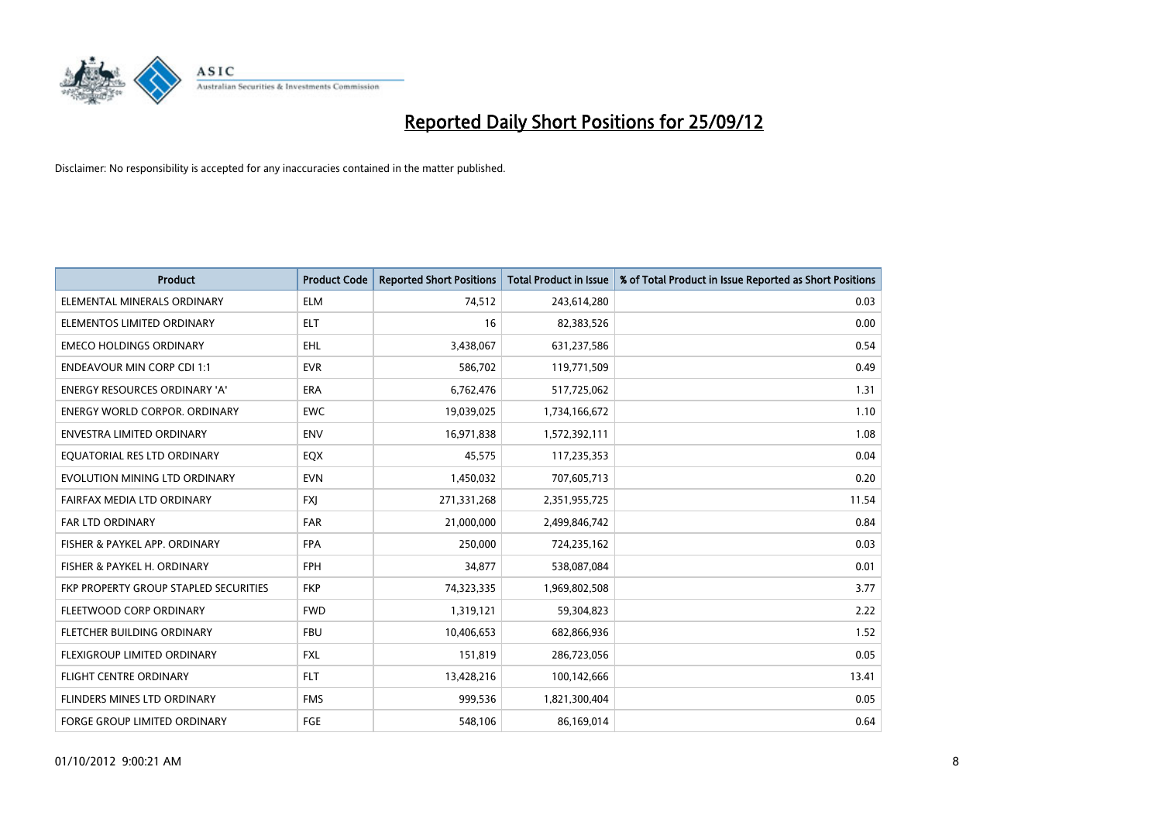

| <b>Product</b>                               | <b>Product Code</b> | <b>Reported Short Positions</b> | <b>Total Product in Issue</b> | % of Total Product in Issue Reported as Short Positions |
|----------------------------------------------|---------------------|---------------------------------|-------------------------------|---------------------------------------------------------|
| ELEMENTAL MINERALS ORDINARY                  | <b>ELM</b>          | 74,512                          | 243,614,280                   | 0.03                                                    |
| ELEMENTOS LIMITED ORDINARY                   | <b>ELT</b>          | 16                              | 82,383,526                    | 0.00                                                    |
| <b>EMECO HOLDINGS ORDINARY</b>               | <b>EHL</b>          | 3,438,067                       | 631,237,586                   | 0.54                                                    |
| <b>ENDEAVOUR MIN CORP CDI 1:1</b>            | <b>EVR</b>          | 586,702                         | 119,771,509                   | 0.49                                                    |
| <b>ENERGY RESOURCES ORDINARY 'A'</b>         | <b>ERA</b>          | 6,762,476                       | 517,725,062                   | 1.31                                                    |
| <b>ENERGY WORLD CORPOR, ORDINARY</b>         | <b>EWC</b>          | 19,039,025                      | 1,734,166,672                 | 1.10                                                    |
| ENVESTRA LIMITED ORDINARY                    | <b>ENV</b>          | 16,971,838                      | 1,572,392,111                 | 1.08                                                    |
| EQUATORIAL RES LTD ORDINARY                  | <b>EQX</b>          | 45,575                          | 117,235,353                   | 0.04                                                    |
| EVOLUTION MINING LTD ORDINARY                | <b>EVN</b>          | 1,450,032                       | 707,605,713                   | 0.20                                                    |
| FAIRFAX MEDIA LTD ORDINARY                   | <b>FXI</b>          | 271,331,268                     | 2,351,955,725                 | 11.54                                                   |
| FAR LTD ORDINARY                             | <b>FAR</b>          | 21,000,000                      | 2,499,846,742                 | 0.84                                                    |
| FISHER & PAYKEL APP. ORDINARY                | <b>FPA</b>          | 250,000                         | 724,235,162                   | 0.03                                                    |
| FISHER & PAYKEL H. ORDINARY                  | <b>FPH</b>          | 34,877                          | 538,087,084                   | 0.01                                                    |
| <b>FKP PROPERTY GROUP STAPLED SECURITIES</b> | <b>FKP</b>          | 74,323,335                      | 1,969,802,508                 | 3.77                                                    |
| FLEETWOOD CORP ORDINARY                      | <b>FWD</b>          | 1,319,121                       | 59,304,823                    | 2.22                                                    |
| FLETCHER BUILDING ORDINARY                   | <b>FBU</b>          | 10,406,653                      | 682,866,936                   | 1.52                                                    |
| FLEXIGROUP LIMITED ORDINARY                  | <b>FXL</b>          | 151,819                         | 286,723,056                   | 0.05                                                    |
| <b>FLIGHT CENTRE ORDINARY</b>                | <b>FLT</b>          | 13,428,216                      | 100,142,666                   | 13.41                                                   |
| FLINDERS MINES LTD ORDINARY                  | <b>FMS</b>          | 999,536                         | 1,821,300,404                 | 0.05                                                    |
| FORGE GROUP LIMITED ORDINARY                 | FGE                 | 548,106                         | 86,169,014                    | 0.64                                                    |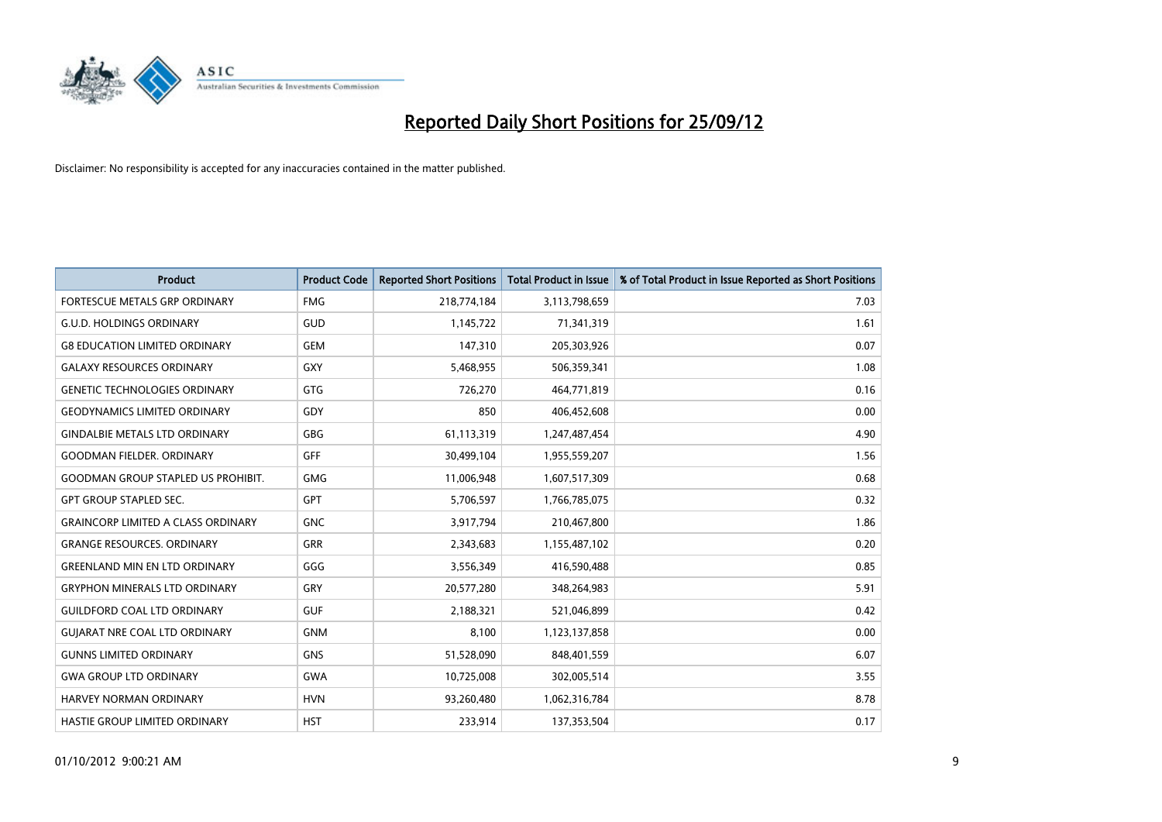

| <b>Product</b>                            | <b>Product Code</b> | <b>Reported Short Positions</b> | <b>Total Product in Issue</b> | % of Total Product in Issue Reported as Short Positions |
|-------------------------------------------|---------------------|---------------------------------|-------------------------------|---------------------------------------------------------|
| <b>FORTESCUE METALS GRP ORDINARY</b>      | <b>FMG</b>          | 218,774,184                     | 3,113,798,659                 | 7.03                                                    |
| G.U.D. HOLDINGS ORDINARY                  | GUD                 | 1,145,722                       | 71,341,319                    | 1.61                                                    |
| <b>G8 EDUCATION LIMITED ORDINARY</b>      | <b>GEM</b>          | 147,310                         | 205,303,926                   | 0.07                                                    |
| <b>GALAXY RESOURCES ORDINARY</b>          | <b>GXY</b>          | 5,468,955                       | 506,359,341                   | 1.08                                                    |
| <b>GENETIC TECHNOLOGIES ORDINARY</b>      | <b>GTG</b>          | 726,270                         | 464,771,819                   | 0.16                                                    |
| GEODYNAMICS LIMITED ORDINARY              | GDY                 | 850                             | 406,452,608                   | 0.00                                                    |
| <b>GINDALBIE METALS LTD ORDINARY</b>      | <b>GBG</b>          | 61,113,319                      | 1,247,487,454                 | 4.90                                                    |
| <b>GOODMAN FIELDER, ORDINARY</b>          | GFF                 | 30,499,104                      | 1,955,559,207                 | 1.56                                                    |
| <b>GOODMAN GROUP STAPLED US PROHIBIT.</b> | <b>GMG</b>          | 11,006,948                      | 1,607,517,309                 | 0.68                                                    |
| <b>GPT GROUP STAPLED SEC.</b>             | <b>GPT</b>          | 5,706,597                       | 1,766,785,075                 | 0.32                                                    |
| <b>GRAINCORP LIMITED A CLASS ORDINARY</b> | <b>GNC</b>          | 3,917,794                       | 210,467,800                   | 1.86                                                    |
| <b>GRANGE RESOURCES. ORDINARY</b>         | <b>GRR</b>          | 2,343,683                       | 1,155,487,102                 | 0.20                                                    |
| <b>GREENLAND MIN EN LTD ORDINARY</b>      | GGG                 | 3,556,349                       | 416,590,488                   | 0.85                                                    |
| <b>GRYPHON MINERALS LTD ORDINARY</b>      | GRY                 | 20,577,280                      | 348,264,983                   | 5.91                                                    |
| <b>GUILDFORD COAL LTD ORDINARY</b>        | <b>GUF</b>          | 2,188,321                       | 521,046,899                   | 0.42                                                    |
| <b>GUIARAT NRE COAL LTD ORDINARY</b>      | <b>GNM</b>          | 8,100                           | 1,123,137,858                 | 0.00                                                    |
| <b>GUNNS LIMITED ORDINARY</b>             | <b>GNS</b>          | 51,528,090                      | 848,401,559                   | 6.07                                                    |
| <b>GWA GROUP LTD ORDINARY</b>             | <b>GWA</b>          | 10,725,008                      | 302,005,514                   | 3.55                                                    |
| HARVEY NORMAN ORDINARY                    | <b>HVN</b>          | 93,260,480                      | 1,062,316,784                 | 8.78                                                    |
| <b>HASTIE GROUP LIMITED ORDINARY</b>      | <b>HST</b>          | 233.914                         | 137,353,504                   | 0.17                                                    |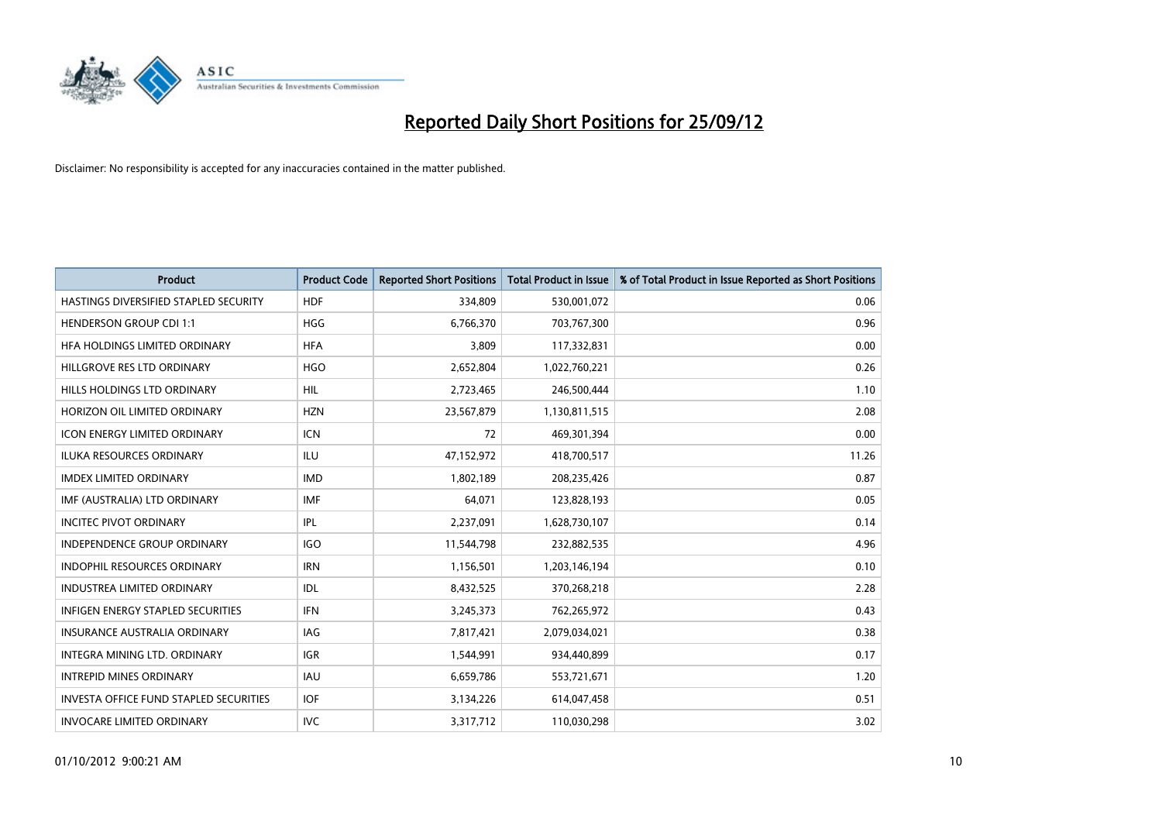

| <b>Product</b>                                | <b>Product Code</b> | <b>Reported Short Positions</b> | <b>Total Product in Issue</b> | % of Total Product in Issue Reported as Short Positions |
|-----------------------------------------------|---------------------|---------------------------------|-------------------------------|---------------------------------------------------------|
| HASTINGS DIVERSIFIED STAPLED SECURITY         | <b>HDF</b>          | 334,809                         | 530,001,072                   | 0.06                                                    |
| <b>HENDERSON GROUP CDI 1:1</b>                | <b>HGG</b>          | 6,766,370                       | 703,767,300                   | 0.96                                                    |
| HFA HOLDINGS LIMITED ORDINARY                 | <b>HFA</b>          | 3,809                           | 117,332,831                   | 0.00                                                    |
| HILLGROVE RES LTD ORDINARY                    | <b>HGO</b>          | 2,652,804                       | 1,022,760,221                 | 0.26                                                    |
| HILLS HOLDINGS LTD ORDINARY                   | <b>HIL</b>          | 2,723,465                       | 246,500,444                   | 1.10                                                    |
| HORIZON OIL LIMITED ORDINARY                  | <b>HZN</b>          | 23,567,879                      | 1,130,811,515                 | 2.08                                                    |
| <b>ICON ENERGY LIMITED ORDINARY</b>           | <b>ICN</b>          | 72                              | 469,301,394                   | 0.00                                                    |
| ILUKA RESOURCES ORDINARY                      | ILU                 | 47,152,972                      | 418,700,517                   | 11.26                                                   |
| <b>IMDEX LIMITED ORDINARY</b>                 | <b>IMD</b>          | 1,802,189                       | 208,235,426                   | 0.87                                                    |
| IMF (AUSTRALIA) LTD ORDINARY                  | <b>IMF</b>          | 64,071                          | 123,828,193                   | 0.05                                                    |
| <b>INCITEC PIVOT ORDINARY</b>                 | <b>IPL</b>          | 2,237,091                       | 1,628,730,107                 | 0.14                                                    |
| <b>INDEPENDENCE GROUP ORDINARY</b>            | <b>IGO</b>          | 11,544,798                      | 232,882,535                   | 4.96                                                    |
| INDOPHIL RESOURCES ORDINARY                   | <b>IRN</b>          | 1,156,501                       | 1,203,146,194                 | 0.10                                                    |
| <b>INDUSTREA LIMITED ORDINARY</b>             | <b>IDL</b>          | 8,432,525                       | 370,268,218                   | 2.28                                                    |
| <b>INFIGEN ENERGY STAPLED SECURITIES</b>      | <b>IFN</b>          | 3,245,373                       | 762,265,972                   | 0.43                                                    |
| INSURANCE AUSTRALIA ORDINARY                  | IAG                 | 7,817,421                       | 2,079,034,021                 | 0.38                                                    |
| INTEGRA MINING LTD. ORDINARY                  | <b>IGR</b>          | 1,544,991                       | 934,440,899                   | 0.17                                                    |
| <b>INTREPID MINES ORDINARY</b>                | <b>IAU</b>          | 6,659,786                       | 553,721,671                   | 1.20                                                    |
| <b>INVESTA OFFICE FUND STAPLED SECURITIES</b> | <b>IOF</b>          | 3,134,226                       | 614,047,458                   | 0.51                                                    |
| <b>INVOCARE LIMITED ORDINARY</b>              | <b>IVC</b>          | 3,317,712                       | 110,030,298                   | 3.02                                                    |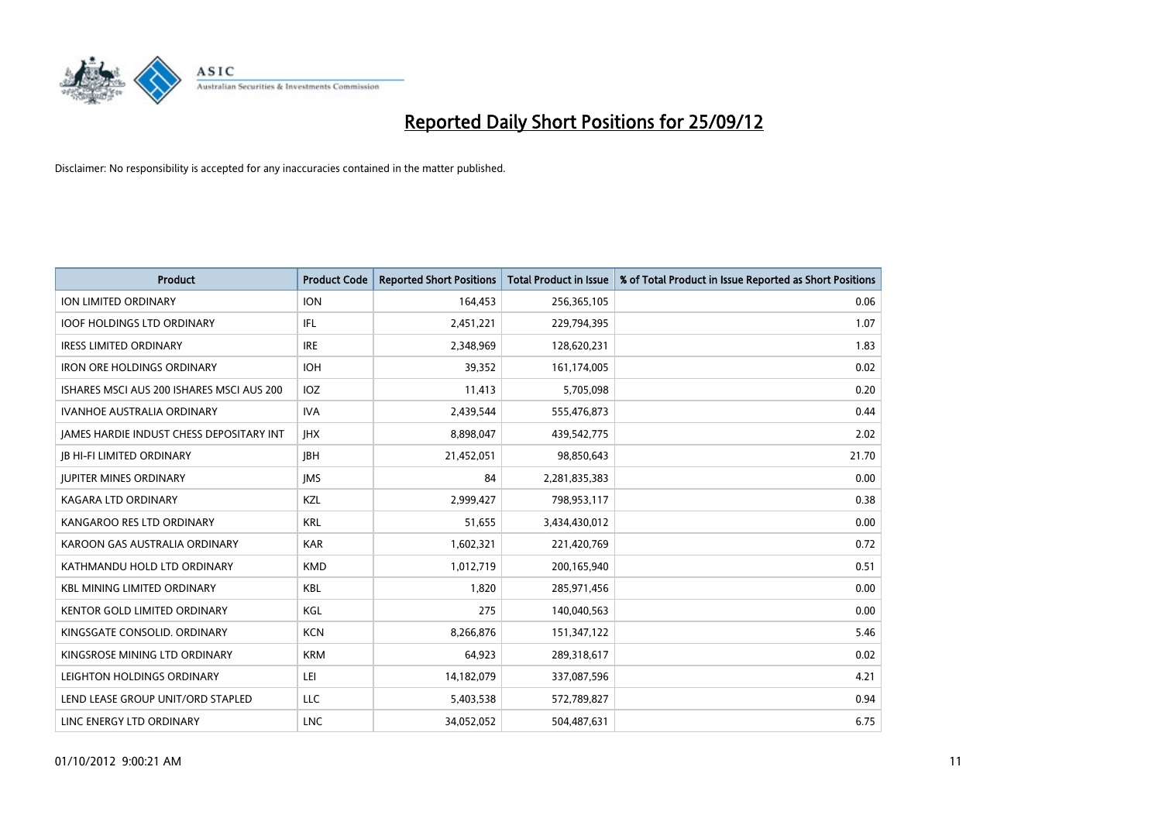

| <b>Product</b>                                  | <b>Product Code</b> | <b>Reported Short Positions</b> | <b>Total Product in Issue</b> | % of Total Product in Issue Reported as Short Positions |
|-------------------------------------------------|---------------------|---------------------------------|-------------------------------|---------------------------------------------------------|
| <b>ION LIMITED ORDINARY</b>                     | <b>ION</b>          | 164,453                         | 256,365,105                   | 0.06                                                    |
| <b>IOOF HOLDINGS LTD ORDINARY</b>               | IFL                 | 2,451,221                       | 229,794,395                   | 1.07                                                    |
| <b>IRESS LIMITED ORDINARY</b>                   | <b>IRE</b>          | 2,348,969                       | 128,620,231                   | 1.83                                                    |
| <b>IRON ORE HOLDINGS ORDINARY</b>               | <b>IOH</b>          | 39,352                          | 161,174,005                   | 0.02                                                    |
| ISHARES MSCI AUS 200 ISHARES MSCI AUS 200       | <b>IOZ</b>          | 11,413                          | 5,705,098                     | 0.20                                                    |
| <b>IVANHOE AUSTRALIA ORDINARY</b>               | <b>IVA</b>          | 2,439,544                       | 555,476,873                   | 0.44                                                    |
| <b>JAMES HARDIE INDUST CHESS DEPOSITARY INT</b> | <b>IHX</b>          | 8,898,047                       | 439,542,775                   | 2.02                                                    |
| <b>JB HI-FI LIMITED ORDINARY</b>                | <b>IBH</b>          | 21,452,051                      | 98,850,643                    | 21.70                                                   |
| <b>JUPITER MINES ORDINARY</b>                   | <b>IMS</b>          | 84                              | 2,281,835,383                 | 0.00                                                    |
| <b>KAGARA LTD ORDINARY</b>                      | <b>KZL</b>          | 2,999,427                       | 798,953,117                   | 0.38                                                    |
| KANGAROO RES LTD ORDINARY                       | <b>KRL</b>          | 51,655                          | 3,434,430,012                 | 0.00                                                    |
| KAROON GAS AUSTRALIA ORDINARY                   | <b>KAR</b>          | 1,602,321                       | 221,420,769                   | 0.72                                                    |
| KATHMANDU HOLD LTD ORDINARY                     | <b>KMD</b>          | 1,012,719                       | 200,165,940                   | 0.51                                                    |
| <b>KBL MINING LIMITED ORDINARY</b>              | <b>KBL</b>          | 1,820                           | 285,971,456                   | 0.00                                                    |
| <b>KENTOR GOLD LIMITED ORDINARY</b>             | KGL                 | 275                             | 140,040,563                   | 0.00                                                    |
| KINGSGATE CONSOLID. ORDINARY                    | <b>KCN</b>          | 8,266,876                       | 151,347,122                   | 5.46                                                    |
| KINGSROSE MINING LTD ORDINARY                   | <b>KRM</b>          | 64,923                          | 289,318,617                   | 0.02                                                    |
| LEIGHTON HOLDINGS ORDINARY                      | LEI                 | 14,182,079                      | 337,087,596                   | 4.21                                                    |
| LEND LEASE GROUP UNIT/ORD STAPLED               | LLC                 | 5,403,538                       | 572,789,827                   | 0.94                                                    |
| LINC ENERGY LTD ORDINARY                        | <b>LNC</b>          | 34,052,052                      | 504,487,631                   | 6.75                                                    |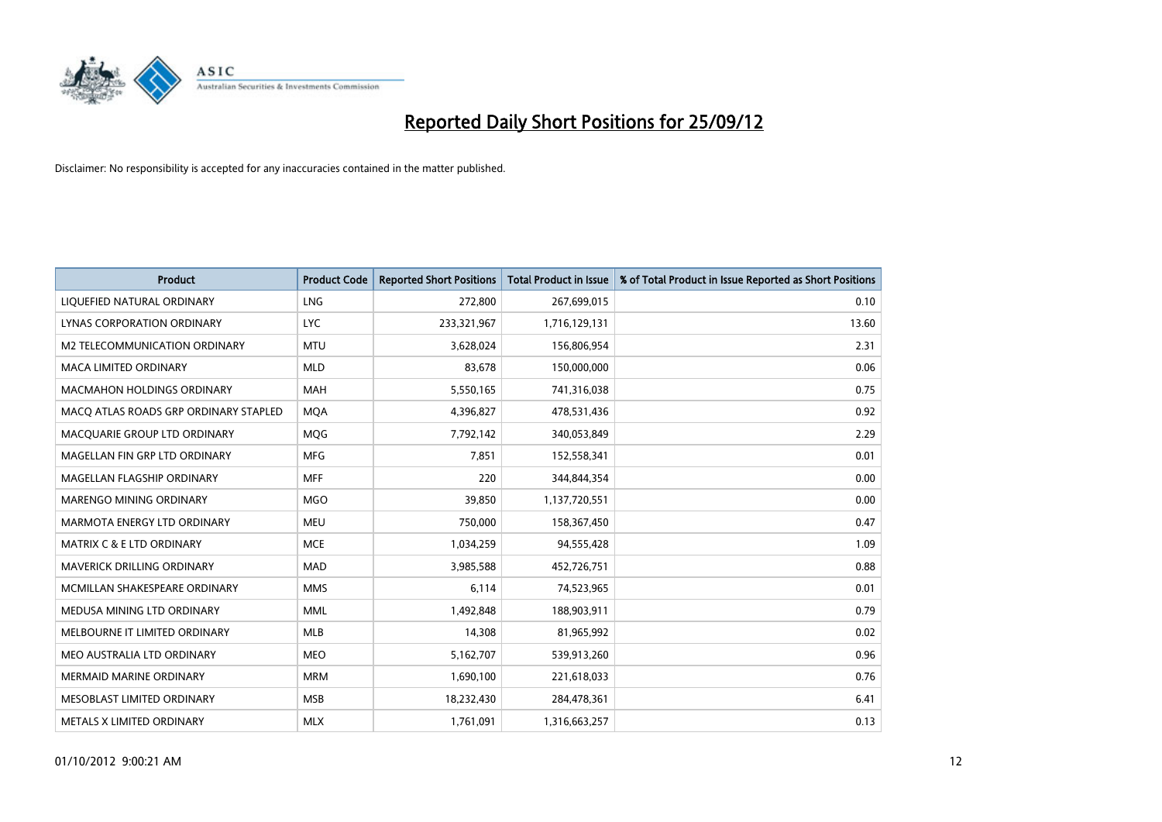

| <b>Product</b>                        | <b>Product Code</b> | <b>Reported Short Positions</b> | <b>Total Product in Issue</b> | % of Total Product in Issue Reported as Short Positions |
|---------------------------------------|---------------------|---------------------------------|-------------------------------|---------------------------------------------------------|
| LIQUEFIED NATURAL ORDINARY            | <b>LNG</b>          | 272,800                         | 267,699,015                   | 0.10                                                    |
| LYNAS CORPORATION ORDINARY            | <b>LYC</b>          | 233,321,967                     | 1,716,129,131                 | 13.60                                                   |
| M2 TELECOMMUNICATION ORDINARY         | <b>MTU</b>          | 3,628,024                       | 156,806,954                   | 2.31                                                    |
| MACA LIMITED ORDINARY                 | <b>MLD</b>          | 83,678                          | 150,000,000                   | 0.06                                                    |
| <b>MACMAHON HOLDINGS ORDINARY</b>     | <b>MAH</b>          | 5,550,165                       | 741,316,038                   | 0.75                                                    |
| MACQ ATLAS ROADS GRP ORDINARY STAPLED | <b>MOA</b>          | 4,396,827                       | 478,531,436                   | 0.92                                                    |
| MACQUARIE GROUP LTD ORDINARY          | <b>MOG</b>          | 7,792,142                       | 340,053,849                   | 2.29                                                    |
| MAGELLAN FIN GRP LTD ORDINARY         | <b>MFG</b>          | 7,851                           | 152,558,341                   | 0.01                                                    |
| MAGELLAN FLAGSHIP ORDINARY            | <b>MFF</b>          | 220                             | 344,844,354                   | 0.00                                                    |
| MARENGO MINING ORDINARY               | <b>MGO</b>          | 39,850                          | 1,137,720,551                 | 0.00                                                    |
| MARMOTA ENERGY LTD ORDINARY           | <b>MEU</b>          | 750,000                         | 158,367,450                   | 0.47                                                    |
| <b>MATRIX C &amp; E LTD ORDINARY</b>  | <b>MCE</b>          | 1,034,259                       | 94,555,428                    | 1.09                                                    |
| MAVERICK DRILLING ORDINARY            | <b>MAD</b>          | 3,985,588                       | 452,726,751                   | 0.88                                                    |
| MCMILLAN SHAKESPEARE ORDINARY         | <b>MMS</b>          | 6,114                           | 74,523,965                    | 0.01                                                    |
| MEDUSA MINING LTD ORDINARY            | <b>MML</b>          | 1,492,848                       | 188,903,911                   | 0.79                                                    |
| MELBOURNE IT LIMITED ORDINARY         | <b>MLB</b>          | 14,308                          | 81,965,992                    | 0.02                                                    |
| MEO AUSTRALIA LTD ORDINARY            | <b>MEO</b>          | 5,162,707                       | 539,913,260                   | 0.96                                                    |
| <b>MERMAID MARINE ORDINARY</b>        | <b>MRM</b>          | 1,690,100                       | 221,618,033                   | 0.76                                                    |
| MESOBLAST LIMITED ORDINARY            | <b>MSB</b>          | 18,232,430                      | 284,478,361                   | 6.41                                                    |
| METALS X LIMITED ORDINARY             | <b>MLX</b>          | 1,761,091                       | 1,316,663,257                 | 0.13                                                    |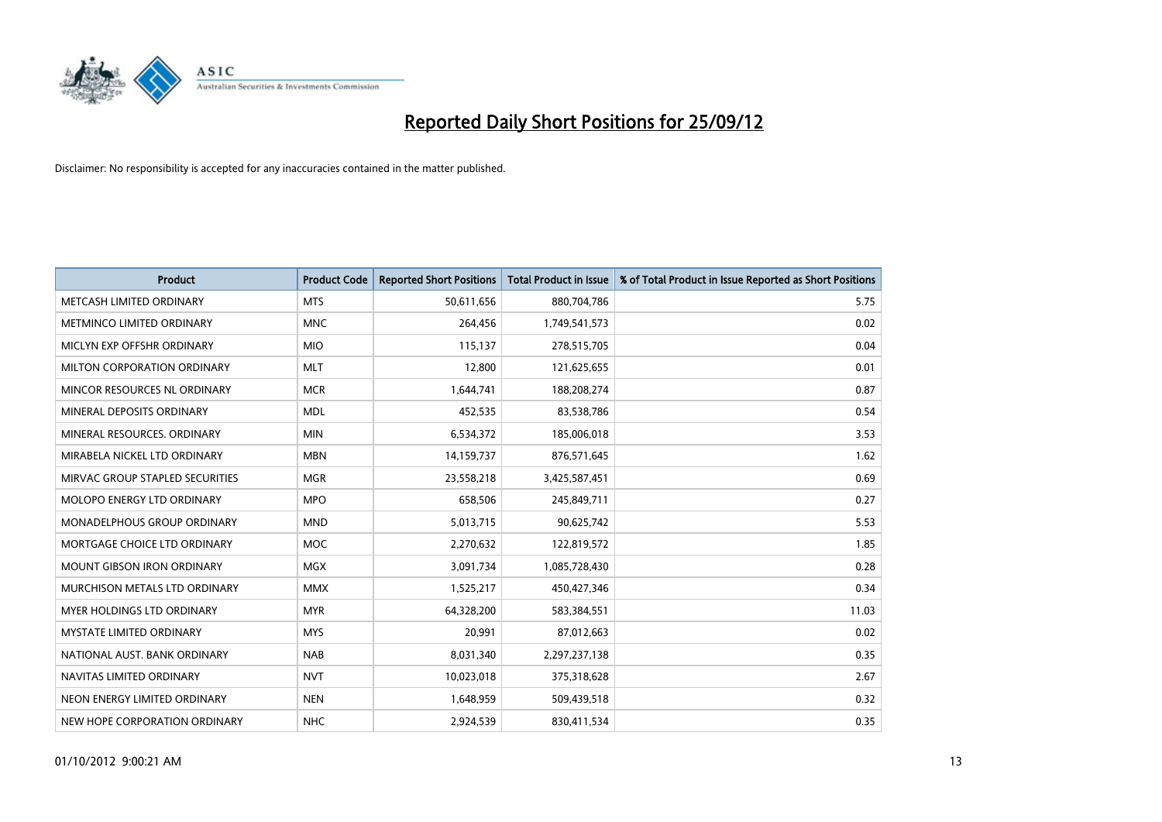

| <b>Product</b>                       | <b>Product Code</b> | <b>Reported Short Positions</b> | <b>Total Product in Issue</b> | % of Total Product in Issue Reported as Short Positions |
|--------------------------------------|---------------------|---------------------------------|-------------------------------|---------------------------------------------------------|
| METCASH LIMITED ORDINARY             | <b>MTS</b>          | 50,611,656                      | 880,704,786                   | 5.75                                                    |
| <b>METMINCO LIMITED ORDINARY</b>     | <b>MNC</b>          | 264,456                         | 1,749,541,573                 | 0.02                                                    |
| MICLYN EXP OFFSHR ORDINARY           | <b>MIO</b>          | 115,137                         | 278,515,705                   | 0.04                                                    |
| MILTON CORPORATION ORDINARY          | <b>MLT</b>          | 12,800                          | 121,625,655                   | 0.01                                                    |
| MINCOR RESOURCES NL ORDINARY         | <b>MCR</b>          | 1,644,741                       | 188,208,274                   | 0.87                                                    |
| MINERAL DEPOSITS ORDINARY            | <b>MDL</b>          | 452,535                         | 83,538,786                    | 0.54                                                    |
| MINERAL RESOURCES. ORDINARY          | <b>MIN</b>          | 6,534,372                       | 185,006,018                   | 3.53                                                    |
| MIRABELA NICKEL LTD ORDINARY         | <b>MBN</b>          | 14,159,737                      | 876,571,645                   | 1.62                                                    |
| MIRVAC GROUP STAPLED SECURITIES      | <b>MGR</b>          | 23,558,218                      | 3,425,587,451                 | 0.69                                                    |
| <b>MOLOPO ENERGY LTD ORDINARY</b>    | <b>MPO</b>          | 658,506                         | 245,849,711                   | 0.27                                                    |
| <b>MONADELPHOUS GROUP ORDINARY</b>   | <b>MND</b>          | 5,013,715                       | 90,625,742                    | 5.53                                                    |
| MORTGAGE CHOICE LTD ORDINARY         | <b>MOC</b>          | 2,270,632                       | 122,819,572                   | 1.85                                                    |
| <b>MOUNT GIBSON IRON ORDINARY</b>    | <b>MGX</b>          | 3,091,734                       | 1,085,728,430                 | 0.28                                                    |
| <b>MURCHISON METALS LTD ORDINARY</b> | <b>MMX</b>          | 1,525,217                       | 450,427,346                   | 0.34                                                    |
| <b>MYER HOLDINGS LTD ORDINARY</b>    | <b>MYR</b>          | 64,328,200                      | 583,384,551                   | 11.03                                                   |
| <b>MYSTATE LIMITED ORDINARY</b>      | <b>MYS</b>          | 20,991                          | 87,012,663                    | 0.02                                                    |
| NATIONAL AUST, BANK ORDINARY         | <b>NAB</b>          | 8,031,340                       | 2,297,237,138                 | 0.35                                                    |
| NAVITAS LIMITED ORDINARY             | <b>NVT</b>          | 10,023,018                      | 375,318,628                   | 2.67                                                    |
| NEON ENERGY LIMITED ORDINARY         | <b>NEN</b>          | 1,648,959                       | 509,439,518                   | 0.32                                                    |
| NEW HOPE CORPORATION ORDINARY        | NHC                 | 2,924,539                       | 830,411,534                   | 0.35                                                    |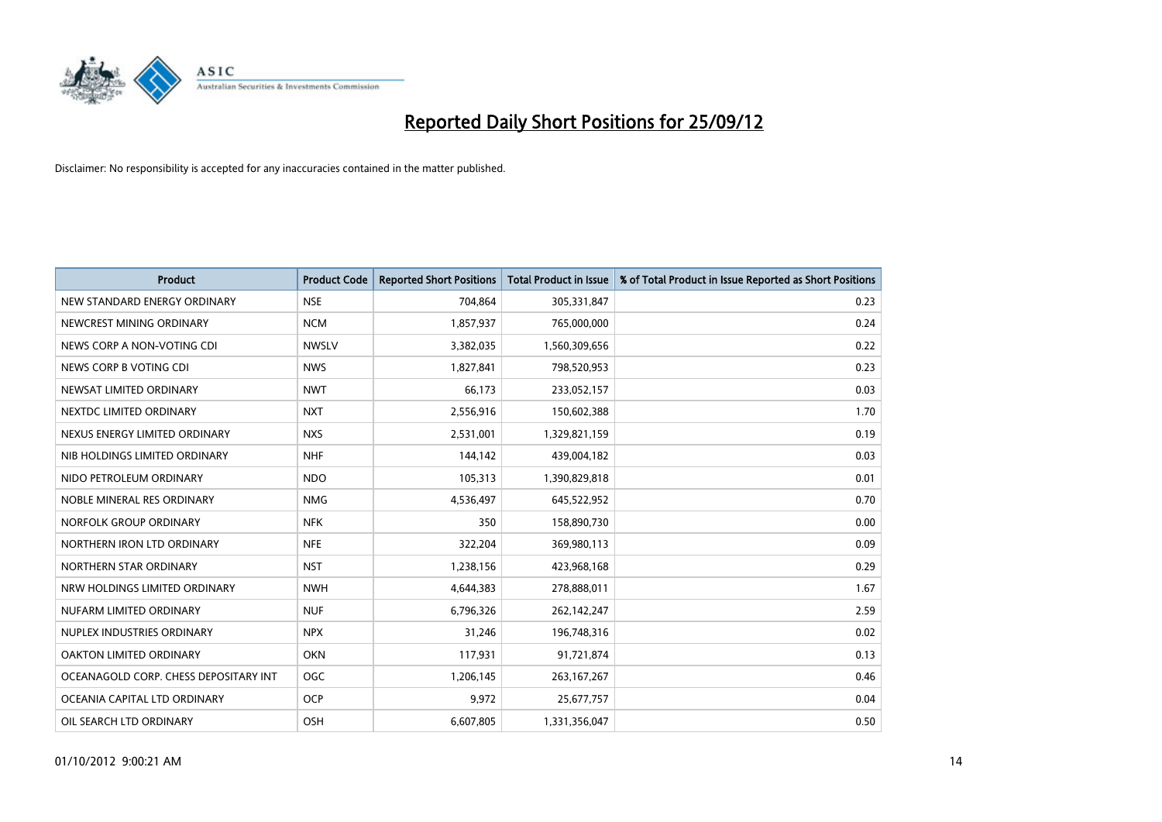

| <b>Product</b>                        | <b>Product Code</b> | <b>Reported Short Positions</b> | <b>Total Product in Issue</b> | % of Total Product in Issue Reported as Short Positions |
|---------------------------------------|---------------------|---------------------------------|-------------------------------|---------------------------------------------------------|
| NEW STANDARD ENERGY ORDINARY          | <b>NSE</b>          | 704,864                         | 305,331,847                   | 0.23                                                    |
| NEWCREST MINING ORDINARY              | <b>NCM</b>          | 1,857,937                       | 765,000,000                   | 0.24                                                    |
| NEWS CORP A NON-VOTING CDI            | <b>NWSLV</b>        | 3,382,035                       | 1,560,309,656                 | 0.22                                                    |
| NEWS CORP B VOTING CDI                | <b>NWS</b>          | 1,827,841                       | 798,520,953                   | 0.23                                                    |
| NEWSAT LIMITED ORDINARY               | <b>NWT</b>          | 66,173                          | 233,052,157                   | 0.03                                                    |
| NEXTDC LIMITED ORDINARY               | <b>NXT</b>          | 2,556,916                       | 150,602,388                   | 1.70                                                    |
| NEXUS ENERGY LIMITED ORDINARY         | <b>NXS</b>          | 2,531,001                       | 1,329,821,159                 | 0.19                                                    |
| NIB HOLDINGS LIMITED ORDINARY         | <b>NHF</b>          | 144,142                         | 439,004,182                   | 0.03                                                    |
| NIDO PETROLEUM ORDINARY               | <b>NDO</b>          | 105,313                         | 1,390,829,818                 | 0.01                                                    |
| NOBLE MINERAL RES ORDINARY            | <b>NMG</b>          | 4,536,497                       | 645,522,952                   | 0.70                                                    |
| NORFOLK GROUP ORDINARY                | <b>NFK</b>          | 350                             | 158,890,730                   | 0.00                                                    |
| NORTHERN IRON LTD ORDINARY            | <b>NFE</b>          | 322,204                         | 369,980,113                   | 0.09                                                    |
| NORTHERN STAR ORDINARY                | <b>NST</b>          | 1,238,156                       | 423,968,168                   | 0.29                                                    |
| NRW HOLDINGS LIMITED ORDINARY         | <b>NWH</b>          | 4,644,383                       | 278,888,011                   | 1.67                                                    |
| NUFARM LIMITED ORDINARY               | <b>NUF</b>          | 6,796,326                       | 262,142,247                   | 2.59                                                    |
| NUPLEX INDUSTRIES ORDINARY            | <b>NPX</b>          | 31,246                          | 196,748,316                   | 0.02                                                    |
| OAKTON LIMITED ORDINARY               | <b>OKN</b>          | 117,931                         | 91,721,874                    | 0.13                                                    |
| OCEANAGOLD CORP. CHESS DEPOSITARY INT | <b>OGC</b>          | 1,206,145                       | 263, 167, 267                 | 0.46                                                    |
| OCEANIA CAPITAL LTD ORDINARY          | <b>OCP</b>          | 9,972                           | 25,677,757                    | 0.04                                                    |
| OIL SEARCH LTD ORDINARY               | OSH                 | 6,607,805                       | 1,331,356,047                 | 0.50                                                    |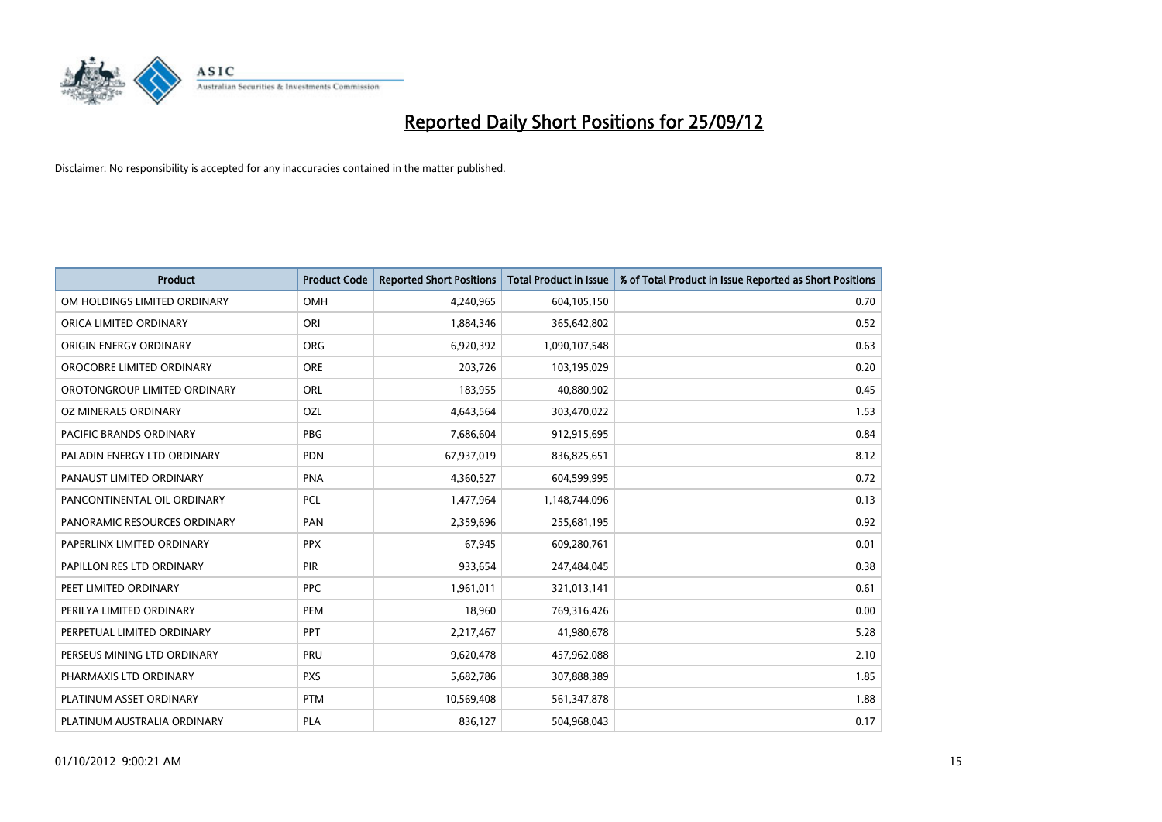

| <b>Product</b>               | <b>Product Code</b> | <b>Reported Short Positions</b> | <b>Total Product in Issue</b> | % of Total Product in Issue Reported as Short Positions |
|------------------------------|---------------------|---------------------------------|-------------------------------|---------------------------------------------------------|
| OM HOLDINGS LIMITED ORDINARY | <b>OMH</b>          | 4,240,965                       | 604,105,150                   | 0.70                                                    |
| ORICA LIMITED ORDINARY       | ORI                 | 1,884,346                       | 365,642,802                   | 0.52                                                    |
| ORIGIN ENERGY ORDINARY       | ORG                 | 6,920,392                       | 1,090,107,548                 | 0.63                                                    |
| OROCOBRE LIMITED ORDINARY    | <b>ORE</b>          | 203,726                         | 103,195,029                   | 0.20                                                    |
| OROTONGROUP LIMITED ORDINARY | ORL                 | 183,955                         | 40,880,902                    | 0.45                                                    |
| OZ MINERALS ORDINARY         | OZL                 | 4,643,564                       | 303,470,022                   | 1.53                                                    |
| PACIFIC BRANDS ORDINARY      | <b>PBG</b>          | 7,686,604                       | 912,915,695                   | 0.84                                                    |
| PALADIN ENERGY LTD ORDINARY  | <b>PDN</b>          | 67,937,019                      | 836,825,651                   | 8.12                                                    |
| PANAUST LIMITED ORDINARY     | <b>PNA</b>          | 4,360,527                       | 604,599,995                   | 0.72                                                    |
| PANCONTINENTAL OIL ORDINARY  | <b>PCL</b>          | 1,477,964                       | 1,148,744,096                 | 0.13                                                    |
| PANORAMIC RESOURCES ORDINARY | PAN                 | 2,359,696                       | 255,681,195                   | 0.92                                                    |
| PAPERLINX LIMITED ORDINARY   | <b>PPX</b>          | 67,945                          | 609,280,761                   | 0.01                                                    |
| PAPILLON RES LTD ORDINARY    | <b>PIR</b>          | 933,654                         | 247,484,045                   | 0.38                                                    |
| PEET LIMITED ORDINARY        | <b>PPC</b>          | 1,961,011                       | 321,013,141                   | 0.61                                                    |
| PERILYA LIMITED ORDINARY     | PEM                 | 18,960                          | 769,316,426                   | 0.00                                                    |
| PERPETUAL LIMITED ORDINARY   | PPT                 | 2,217,467                       | 41,980,678                    | 5.28                                                    |
| PERSEUS MINING LTD ORDINARY  | PRU                 | 9,620,478                       | 457,962,088                   | 2.10                                                    |
| PHARMAXIS LTD ORDINARY       | <b>PXS</b>          | 5,682,786                       | 307,888,389                   | 1.85                                                    |
| PLATINUM ASSET ORDINARY      | <b>PTM</b>          | 10,569,408                      | 561,347,878                   | 1.88                                                    |
| PLATINUM AUSTRALIA ORDINARY  | <b>PLA</b>          | 836,127                         | 504,968,043                   | 0.17                                                    |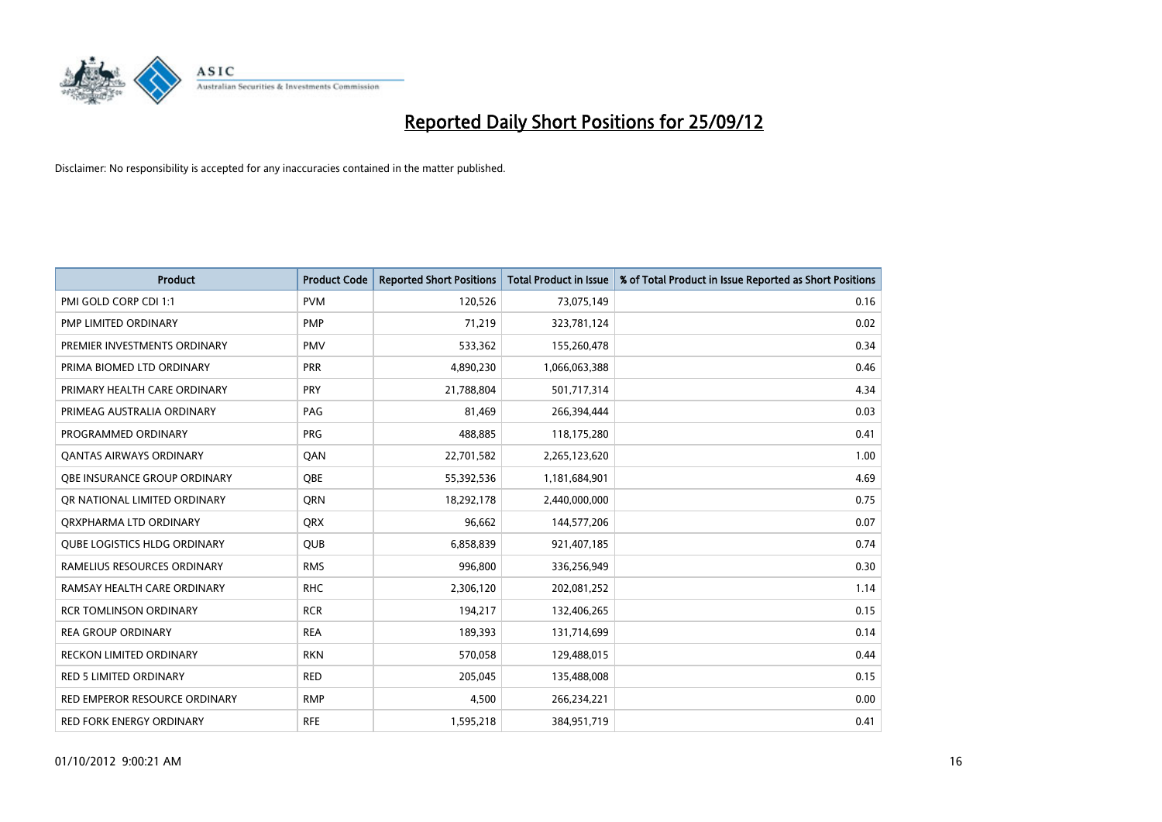

| <b>Product</b>                      | <b>Product Code</b> | <b>Reported Short Positions</b> | <b>Total Product in Issue</b> | % of Total Product in Issue Reported as Short Positions |
|-------------------------------------|---------------------|---------------------------------|-------------------------------|---------------------------------------------------------|
| PMI GOLD CORP CDI 1:1               | <b>PVM</b>          | 120,526                         | 73,075,149                    | 0.16                                                    |
| PMP LIMITED ORDINARY                | <b>PMP</b>          | 71,219                          | 323,781,124                   | 0.02                                                    |
| PREMIER INVESTMENTS ORDINARY        | <b>PMV</b>          | 533,362                         | 155,260,478                   | 0.34                                                    |
| PRIMA BIOMED LTD ORDINARY           | <b>PRR</b>          | 4,890,230                       | 1,066,063,388                 | 0.46                                                    |
| PRIMARY HEALTH CARE ORDINARY        | <b>PRY</b>          | 21,788,804                      | 501,717,314                   | 4.34                                                    |
| PRIMEAG AUSTRALIA ORDINARY          | PAG                 | 81,469                          | 266,394,444                   | 0.03                                                    |
| PROGRAMMED ORDINARY                 | <b>PRG</b>          | 488,885                         | 118,175,280                   | 0.41                                                    |
| <b>QANTAS AIRWAYS ORDINARY</b>      | QAN                 | 22,701,582                      | 2,265,123,620                 | 1.00                                                    |
| OBE INSURANCE GROUP ORDINARY        | <b>OBE</b>          | 55,392,536                      | 1,181,684,901                 | 4.69                                                    |
| OR NATIONAL LIMITED ORDINARY        | <b>ORN</b>          | 18,292,178                      | 2,440,000,000                 | 0.75                                                    |
| ORXPHARMA LTD ORDINARY              | <b>QRX</b>          | 96,662                          | 144,577,206                   | 0.07                                                    |
| <b>QUBE LOGISTICS HLDG ORDINARY</b> | QUB                 | 6,858,839                       | 921,407,185                   | 0.74                                                    |
| RAMELIUS RESOURCES ORDINARY         | <b>RMS</b>          | 996,800                         | 336,256,949                   | 0.30                                                    |
| RAMSAY HEALTH CARE ORDINARY         | <b>RHC</b>          | 2,306,120                       | 202,081,252                   | 1.14                                                    |
| <b>RCR TOMLINSON ORDINARY</b>       | <b>RCR</b>          | 194,217                         | 132,406,265                   | 0.15                                                    |
| <b>REA GROUP ORDINARY</b>           | <b>REA</b>          | 189,393                         | 131,714,699                   | 0.14                                                    |
| RECKON LIMITED ORDINARY             | <b>RKN</b>          | 570,058                         | 129,488,015                   | 0.44                                                    |
| RED 5 LIMITED ORDINARY              | <b>RED</b>          | 205,045                         | 135,488,008                   | 0.15                                                    |
| RED EMPEROR RESOURCE ORDINARY       | <b>RMP</b>          | 4,500                           | 266,234,221                   | 0.00                                                    |
| RED FORK ENERGY ORDINARY            | <b>RFE</b>          | 1,595,218                       | 384,951,719                   | 0.41                                                    |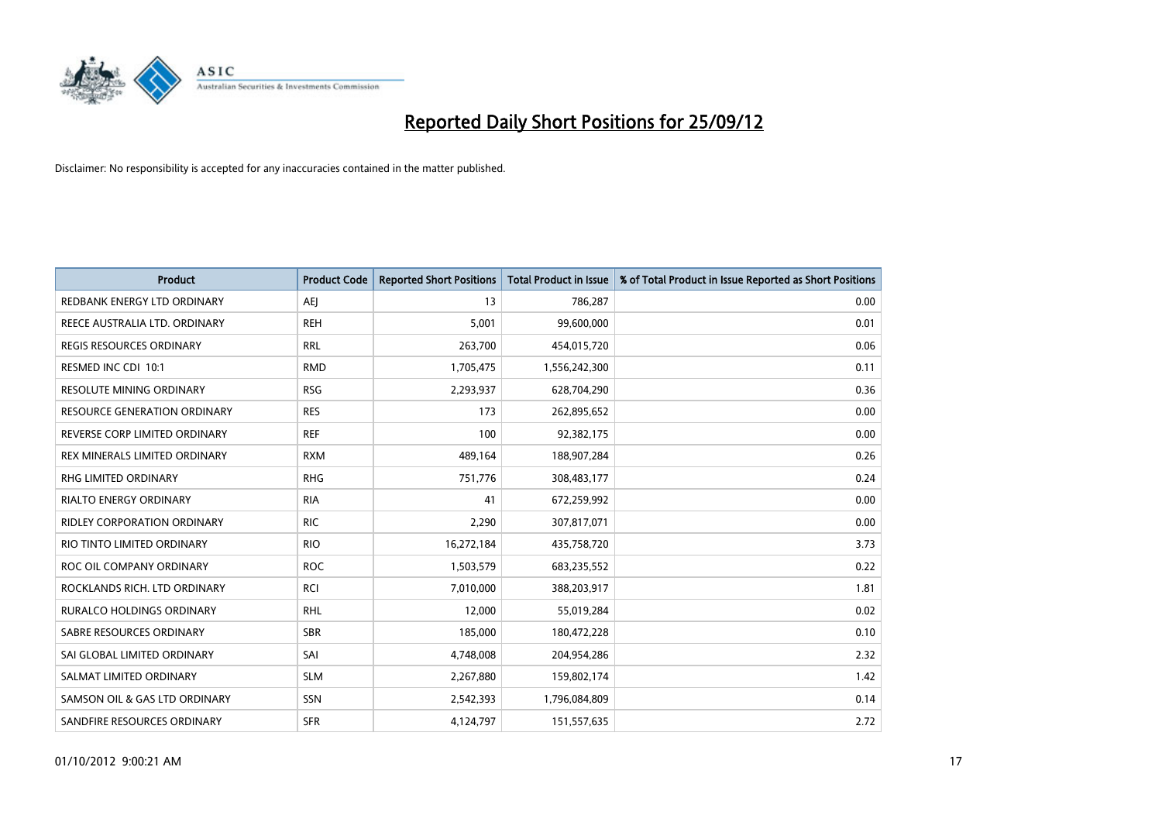

| <b>Product</b>                   | <b>Product Code</b> | <b>Reported Short Positions</b> | <b>Total Product in Issue</b> | % of Total Product in Issue Reported as Short Positions |
|----------------------------------|---------------------|---------------------------------|-------------------------------|---------------------------------------------------------|
| REDBANK ENERGY LTD ORDINARY      | AEI                 | 13                              | 786,287                       | 0.00                                                    |
| REECE AUSTRALIA LTD. ORDINARY    | <b>REH</b>          | 5,001                           | 99,600,000                    | 0.01                                                    |
| REGIS RESOURCES ORDINARY         | <b>RRL</b>          | 263,700                         | 454,015,720                   | 0.06                                                    |
| RESMED INC CDI 10:1              | <b>RMD</b>          | 1,705,475                       | 1,556,242,300                 | 0.11                                                    |
| <b>RESOLUTE MINING ORDINARY</b>  | <b>RSG</b>          | 2,293,937                       | 628,704,290                   | 0.36                                                    |
| RESOURCE GENERATION ORDINARY     | <b>RES</b>          | 173                             | 262,895,652                   | 0.00                                                    |
| REVERSE CORP LIMITED ORDINARY    | <b>REF</b>          | 100                             | 92,382,175                    | 0.00                                                    |
| REX MINERALS LIMITED ORDINARY    | <b>RXM</b>          | 489,164                         | 188,907,284                   | 0.26                                                    |
| <b>RHG LIMITED ORDINARY</b>      | <b>RHG</b>          | 751,776                         | 308,483,177                   | 0.24                                                    |
| <b>RIALTO ENERGY ORDINARY</b>    | <b>RIA</b>          | 41                              | 672,259,992                   | 0.00                                                    |
| RIDLEY CORPORATION ORDINARY      | <b>RIC</b>          | 2,290                           | 307,817,071                   | 0.00                                                    |
| RIO TINTO LIMITED ORDINARY       | <b>RIO</b>          | 16,272,184                      | 435,758,720                   | 3.73                                                    |
| ROC OIL COMPANY ORDINARY         | <b>ROC</b>          | 1,503,579                       | 683,235,552                   | 0.22                                                    |
| ROCKLANDS RICH. LTD ORDINARY     | RCI                 | 7,010,000                       | 388,203,917                   | 1.81                                                    |
| <b>RURALCO HOLDINGS ORDINARY</b> | <b>RHL</b>          | 12,000                          | 55,019,284                    | 0.02                                                    |
| SABRE RESOURCES ORDINARY         | <b>SBR</b>          | 185,000                         | 180,472,228                   | 0.10                                                    |
| SAI GLOBAL LIMITED ORDINARY      | SAI                 | 4,748,008                       | 204,954,286                   | 2.32                                                    |
| SALMAT LIMITED ORDINARY          | <b>SLM</b>          | 2,267,880                       | 159,802,174                   | 1.42                                                    |
| SAMSON OIL & GAS LTD ORDINARY    | SSN                 | 2,542,393                       | 1,796,084,809                 | 0.14                                                    |
| SANDFIRE RESOURCES ORDINARY      | <b>SFR</b>          | 4,124,797                       | 151,557,635                   | 2.72                                                    |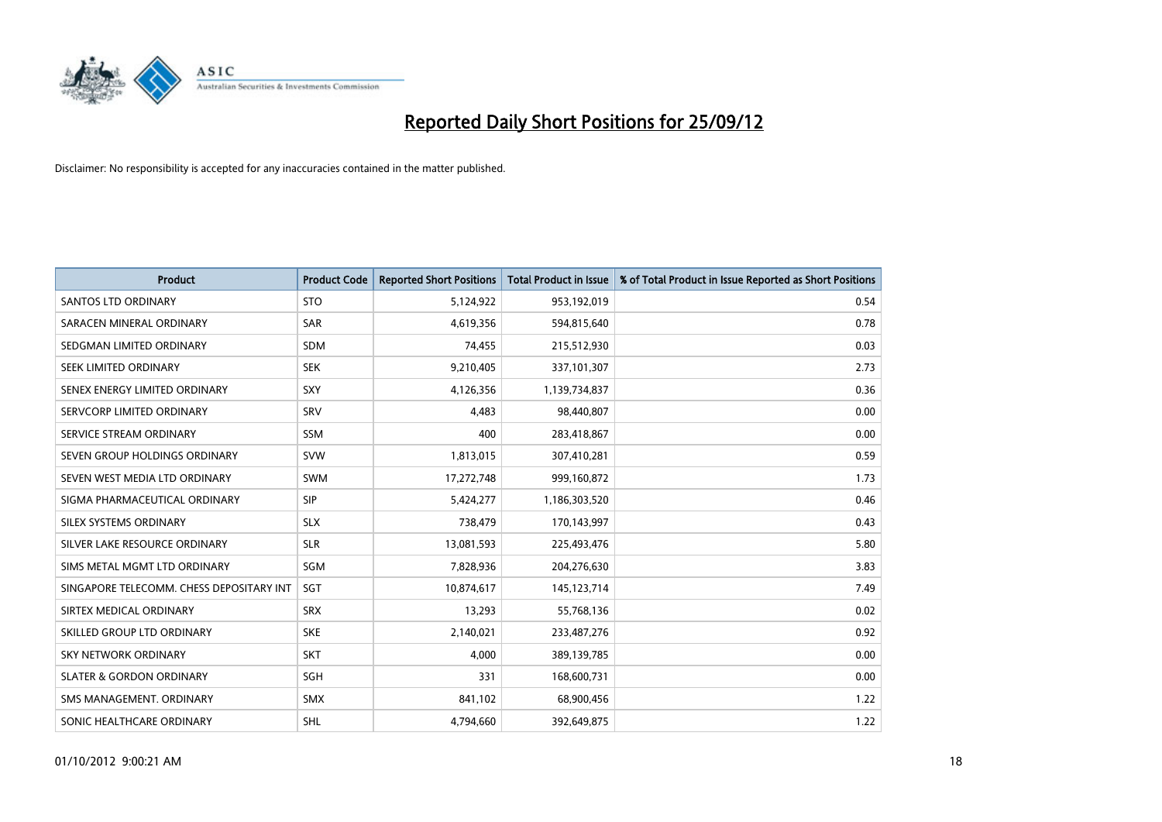

| <b>Product</b>                           | <b>Product Code</b> | <b>Reported Short Positions</b> | <b>Total Product in Issue</b> | % of Total Product in Issue Reported as Short Positions |
|------------------------------------------|---------------------|---------------------------------|-------------------------------|---------------------------------------------------------|
| <b>SANTOS LTD ORDINARY</b>               | <b>STO</b>          | 5,124,922                       | 953,192,019                   | 0.54                                                    |
| SARACEN MINERAL ORDINARY                 | <b>SAR</b>          | 4,619,356                       | 594,815,640                   | 0.78                                                    |
| SEDGMAN LIMITED ORDINARY                 | <b>SDM</b>          | 74,455                          | 215,512,930                   | 0.03                                                    |
| <b>SEEK LIMITED ORDINARY</b>             | <b>SEK</b>          | 9,210,405                       | 337,101,307                   | 2.73                                                    |
| SENEX ENERGY LIMITED ORDINARY            | SXY                 | 4,126,356                       | 1,139,734,837                 | 0.36                                                    |
| SERVCORP LIMITED ORDINARY                | SRV                 | 4,483                           | 98,440,807                    | 0.00                                                    |
| SERVICE STREAM ORDINARY                  | <b>SSM</b>          | 400                             | 283,418,867                   | 0.00                                                    |
| SEVEN GROUP HOLDINGS ORDINARY            | <b>SVW</b>          | 1,813,015                       | 307,410,281                   | 0.59                                                    |
| SEVEN WEST MEDIA LTD ORDINARY            | <b>SWM</b>          | 17,272,748                      | 999,160,872                   | 1.73                                                    |
| SIGMA PHARMACEUTICAL ORDINARY            | <b>SIP</b>          | 5,424,277                       | 1,186,303,520                 | 0.46                                                    |
| SILEX SYSTEMS ORDINARY                   | <b>SLX</b>          | 738,479                         | 170,143,997                   | 0.43                                                    |
| SILVER LAKE RESOURCE ORDINARY            | <b>SLR</b>          | 13,081,593                      | 225,493,476                   | 5.80                                                    |
| SIMS METAL MGMT LTD ORDINARY             | SGM                 | 7,828,936                       | 204,276,630                   | 3.83                                                    |
| SINGAPORE TELECOMM. CHESS DEPOSITARY INT | SGT                 | 10,874,617                      | 145, 123, 714                 | 7.49                                                    |
| SIRTEX MEDICAL ORDINARY                  | <b>SRX</b>          | 13,293                          | 55,768,136                    | 0.02                                                    |
| SKILLED GROUP LTD ORDINARY               | <b>SKE</b>          | 2,140,021                       | 233,487,276                   | 0.92                                                    |
| SKY NETWORK ORDINARY                     | <b>SKT</b>          | 4,000                           | 389,139,785                   | 0.00                                                    |
| <b>SLATER &amp; GORDON ORDINARY</b>      | <b>SGH</b>          | 331                             | 168,600,731                   | 0.00                                                    |
| SMS MANAGEMENT, ORDINARY                 | <b>SMX</b>          | 841,102                         | 68,900,456                    | 1.22                                                    |
| SONIC HEALTHCARE ORDINARY                | <b>SHL</b>          | 4,794,660                       | 392,649,875                   | 1.22                                                    |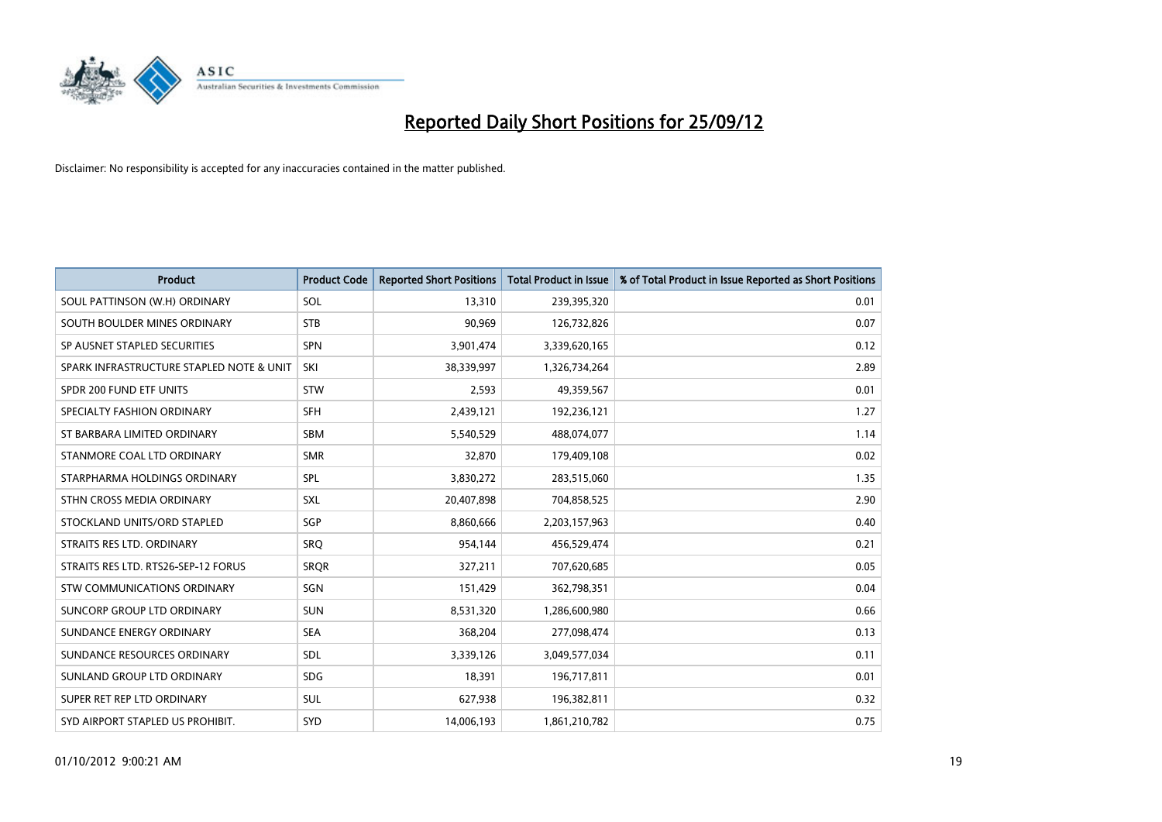

| <b>Product</b>                           | <b>Product Code</b> | <b>Reported Short Positions</b> | <b>Total Product in Issue</b> | % of Total Product in Issue Reported as Short Positions |
|------------------------------------------|---------------------|---------------------------------|-------------------------------|---------------------------------------------------------|
| SOUL PATTINSON (W.H) ORDINARY            | SOL                 | 13,310                          | 239,395,320                   | 0.01                                                    |
| SOUTH BOULDER MINES ORDINARY             | <b>STB</b>          | 90,969                          | 126,732,826                   | 0.07                                                    |
| SP AUSNET STAPLED SECURITIES             | <b>SPN</b>          | 3,901,474                       | 3,339,620,165                 | 0.12                                                    |
| SPARK INFRASTRUCTURE STAPLED NOTE & UNIT | SKI                 | 38,339,997                      | 1,326,734,264                 | 2.89                                                    |
| SPDR 200 FUND ETF UNITS                  | <b>STW</b>          | 2,593                           | 49,359,567                    | 0.01                                                    |
| SPECIALTY FASHION ORDINARY               | <b>SFH</b>          | 2,439,121                       | 192,236,121                   | 1.27                                                    |
| ST BARBARA LIMITED ORDINARY              | <b>SBM</b>          | 5,540,529                       | 488,074,077                   | 1.14                                                    |
| STANMORE COAL LTD ORDINARY               | <b>SMR</b>          | 32,870                          | 179,409,108                   | 0.02                                                    |
| STARPHARMA HOLDINGS ORDINARY             | SPL                 | 3,830,272                       | 283,515,060                   | 1.35                                                    |
| STHN CROSS MEDIA ORDINARY                | <b>SXL</b>          | 20,407,898                      | 704,858,525                   | 2.90                                                    |
| STOCKLAND UNITS/ORD STAPLED              | SGP                 | 8,860,666                       | 2,203,157,963                 | 0.40                                                    |
| STRAITS RES LTD. ORDINARY                | SRO                 | 954,144                         | 456,529,474                   | 0.21                                                    |
| STRAITS RES LTD. RTS26-SEP-12 FORUS      | <b>SROR</b>         | 327,211                         | 707,620,685                   | 0.05                                                    |
| <b>STW COMMUNICATIONS ORDINARY</b>       | SGN                 | 151,429                         | 362,798,351                   | 0.04                                                    |
| SUNCORP GROUP LTD ORDINARY               | <b>SUN</b>          | 8,531,320                       | 1,286,600,980                 | 0.66                                                    |
| SUNDANCE ENERGY ORDINARY                 | <b>SEA</b>          | 368,204                         | 277,098,474                   | 0.13                                                    |
| SUNDANCE RESOURCES ORDINARY              | <b>SDL</b>          | 3,339,126                       | 3,049,577,034                 | 0.11                                                    |
| SUNLAND GROUP LTD ORDINARY               | <b>SDG</b>          | 18,391                          | 196,717,811                   | 0.01                                                    |
| SUPER RET REP LTD ORDINARY               | <b>SUL</b>          | 627,938                         | 196,382,811                   | 0.32                                                    |
| SYD AIRPORT STAPLED US PROHIBIT.         | <b>SYD</b>          | 14,006,193                      | 1,861,210,782                 | 0.75                                                    |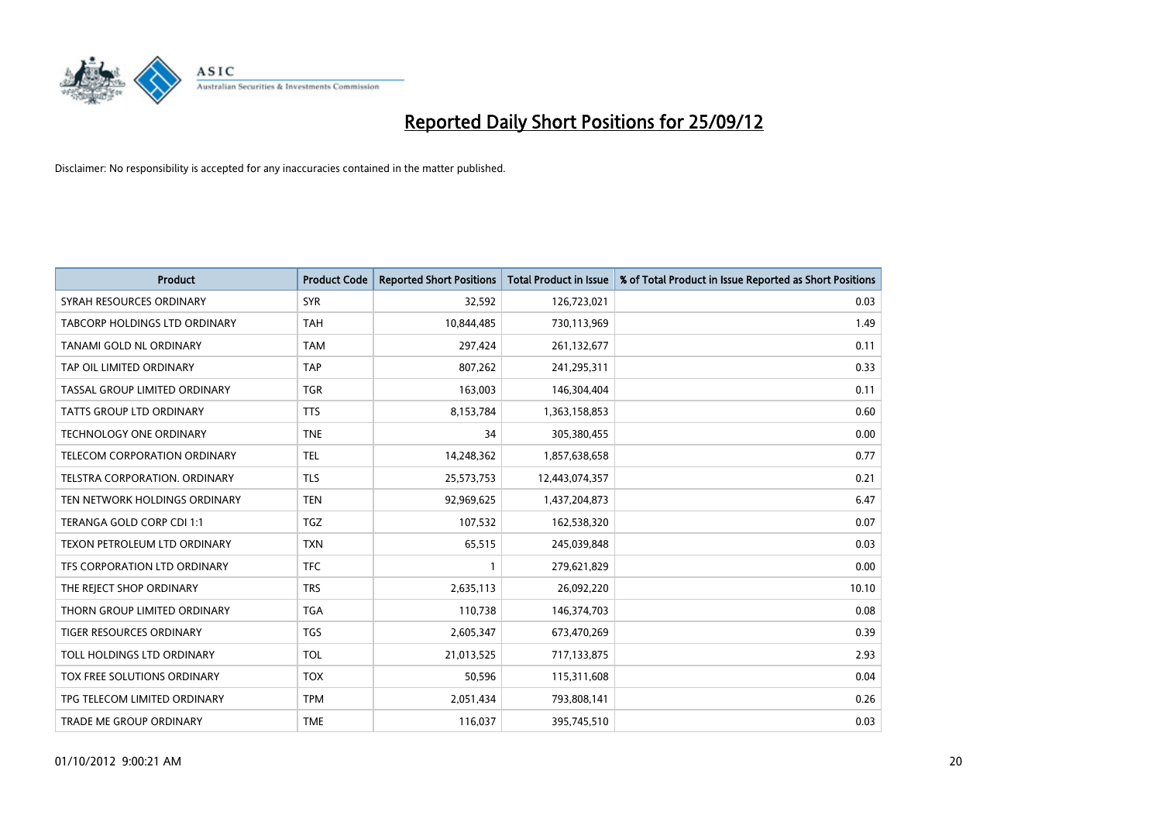

| <b>Product</b>                       | <b>Product Code</b> | <b>Reported Short Positions</b> | <b>Total Product in Issue</b> | % of Total Product in Issue Reported as Short Positions |
|--------------------------------------|---------------------|---------------------------------|-------------------------------|---------------------------------------------------------|
| SYRAH RESOURCES ORDINARY             | <b>SYR</b>          | 32,592                          | 126,723,021                   | 0.03                                                    |
| <b>TABCORP HOLDINGS LTD ORDINARY</b> | <b>TAH</b>          | 10,844,485                      | 730,113,969                   | 1.49                                                    |
| TANAMI GOLD NL ORDINARY              | <b>TAM</b>          | 297,424                         | 261,132,677                   | 0.11                                                    |
| TAP OIL LIMITED ORDINARY             | <b>TAP</b>          | 807,262                         | 241,295,311                   | 0.33                                                    |
| TASSAL GROUP LIMITED ORDINARY        | <b>TGR</b>          | 163,003                         | 146,304,404                   | 0.11                                                    |
| <b>TATTS GROUP LTD ORDINARY</b>      | <b>TTS</b>          | 8,153,784                       | 1,363,158,853                 | 0.60                                                    |
| TECHNOLOGY ONE ORDINARY              | <b>TNE</b>          | 34                              | 305,380,455                   | 0.00                                                    |
| TELECOM CORPORATION ORDINARY         | <b>TEL</b>          | 14,248,362                      | 1,857,638,658                 | 0.77                                                    |
| TELSTRA CORPORATION, ORDINARY        | <b>TLS</b>          | 25,573,753                      | 12,443,074,357                | 0.21                                                    |
| TEN NETWORK HOLDINGS ORDINARY        | <b>TEN</b>          | 92,969,625                      | 1,437,204,873                 | 6.47                                                    |
| TERANGA GOLD CORP CDI 1:1            | <b>TGZ</b>          | 107,532                         | 162,538,320                   | 0.07                                                    |
| TEXON PETROLEUM LTD ORDINARY         | <b>TXN</b>          | 65,515                          | 245,039,848                   | 0.03                                                    |
| TFS CORPORATION LTD ORDINARY         | <b>TFC</b>          |                                 | 279,621,829                   | 0.00                                                    |
| THE REJECT SHOP ORDINARY             | <b>TRS</b>          | 2,635,113                       | 26,092,220                    | 10.10                                                   |
| THORN GROUP LIMITED ORDINARY         | <b>TGA</b>          | 110,738                         | 146,374,703                   | 0.08                                                    |
| TIGER RESOURCES ORDINARY             | <b>TGS</b>          | 2,605,347                       | 673,470,269                   | 0.39                                                    |
| TOLL HOLDINGS LTD ORDINARY           | <b>TOL</b>          | 21,013,525                      | 717,133,875                   | 2.93                                                    |
| TOX FREE SOLUTIONS ORDINARY          | <b>TOX</b>          | 50,596                          | 115,311,608                   | 0.04                                                    |
| TPG TELECOM LIMITED ORDINARY         | <b>TPM</b>          | 2,051,434                       | 793,808,141                   | 0.26                                                    |
| TRADE ME GROUP ORDINARY              | <b>TME</b>          | 116,037                         | 395,745,510                   | 0.03                                                    |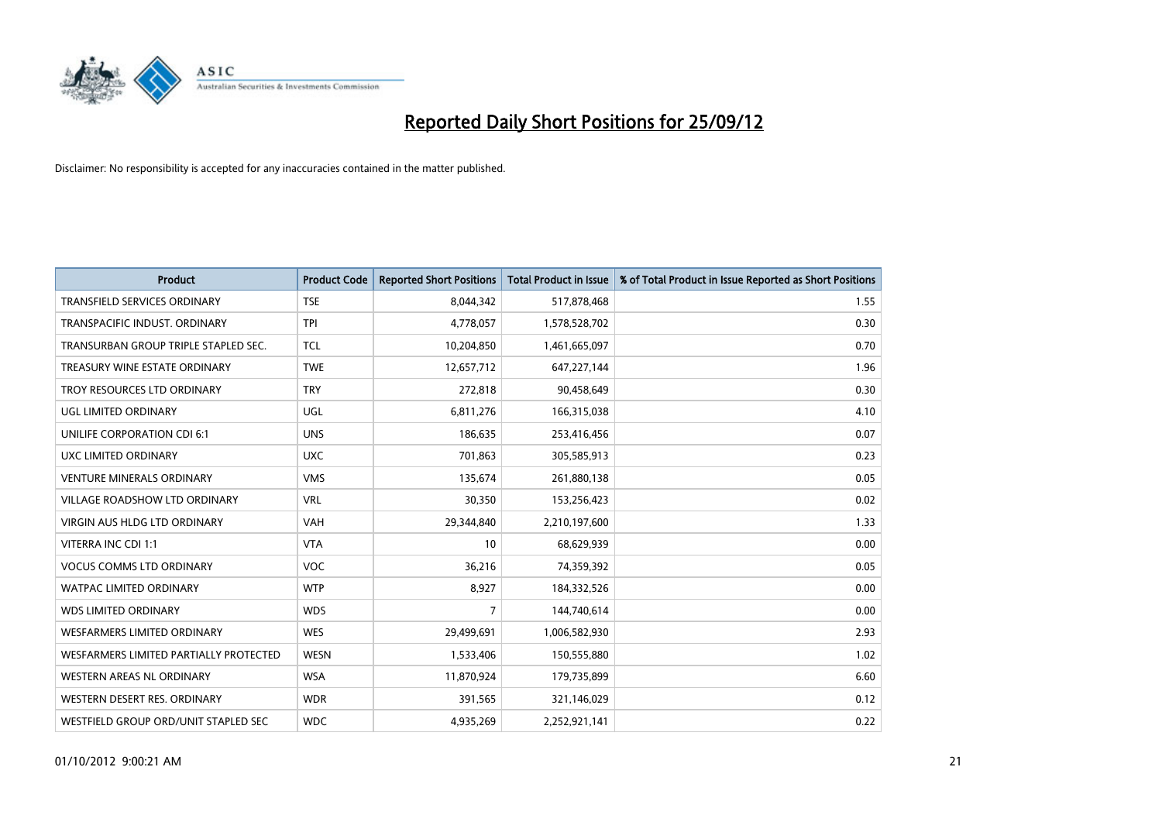

| <b>Product</b>                         | <b>Product Code</b> | <b>Reported Short Positions</b> | <b>Total Product in Issue</b> | % of Total Product in Issue Reported as Short Positions |
|----------------------------------------|---------------------|---------------------------------|-------------------------------|---------------------------------------------------------|
| <b>TRANSFIELD SERVICES ORDINARY</b>    | <b>TSE</b>          | 8,044,342                       | 517,878,468                   | 1.55                                                    |
| TRANSPACIFIC INDUST. ORDINARY          | <b>TPI</b>          | 4,778,057                       | 1,578,528,702                 | 0.30                                                    |
| TRANSURBAN GROUP TRIPLE STAPLED SEC.   | <b>TCL</b>          | 10,204,850                      | 1,461,665,097                 | 0.70                                                    |
| TREASURY WINE ESTATE ORDINARY          | <b>TWE</b>          | 12,657,712                      | 647,227,144                   | 1.96                                                    |
| TROY RESOURCES LTD ORDINARY            | <b>TRY</b>          | 272,818                         | 90,458,649                    | 0.30                                                    |
| UGL LIMITED ORDINARY                   | UGL                 | 6,811,276                       | 166,315,038                   | 4.10                                                    |
| UNILIFE CORPORATION CDI 6:1            | <b>UNS</b>          | 186,635                         | 253,416,456                   | 0.07                                                    |
| UXC LIMITED ORDINARY                   | <b>UXC</b>          | 701,863                         | 305,585,913                   | 0.23                                                    |
| <b>VENTURE MINERALS ORDINARY</b>       | <b>VMS</b>          | 135,674                         | 261,880,138                   | 0.05                                                    |
| <b>VILLAGE ROADSHOW LTD ORDINARY</b>   | <b>VRL</b>          | 30,350                          | 153,256,423                   | 0.02                                                    |
| VIRGIN AUS HLDG LTD ORDINARY           | <b>VAH</b>          | 29,344,840                      | 2,210,197,600                 | 1.33                                                    |
| VITERRA INC CDI 1:1                    | <b>VTA</b>          | 10                              | 68,629,939                    | 0.00                                                    |
| <b>VOCUS COMMS LTD ORDINARY</b>        | <b>VOC</b>          | 36,216                          | 74,359,392                    | 0.05                                                    |
| <b>WATPAC LIMITED ORDINARY</b>         | <b>WTP</b>          | 8,927                           | 184,332,526                   | 0.00                                                    |
| <b>WDS LIMITED ORDINARY</b>            | <b>WDS</b>          | 7                               | 144,740,614                   | 0.00                                                    |
| WESFARMERS LIMITED ORDINARY            | <b>WES</b>          | 29,499,691                      | 1,006,582,930                 | 2.93                                                    |
| WESFARMERS LIMITED PARTIALLY PROTECTED | <b>WESN</b>         | 1,533,406                       | 150,555,880                   | 1.02                                                    |
| WESTERN AREAS NL ORDINARY              | <b>WSA</b>          | 11,870,924                      | 179,735,899                   | 6.60                                                    |
| WESTERN DESERT RES. ORDINARY           | <b>WDR</b>          | 391,565                         | 321,146,029                   | 0.12                                                    |
| WESTFIELD GROUP ORD/UNIT STAPLED SEC   | <b>WDC</b>          | 4,935,269                       | 2,252,921,141                 | 0.22                                                    |